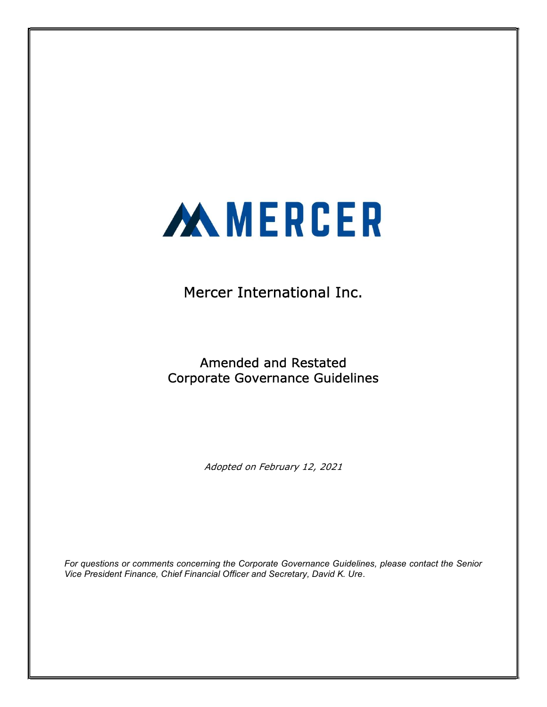

Mercer International Inc.

Amended and Restated Corporate Governance Guidelines

Adopted on February 12, 2021

For questions or comments concerning the Corporate Governance Guidelines, please contact the Senior Vice President Finance, Chief Financial Officer and Secretary, David K. Ure.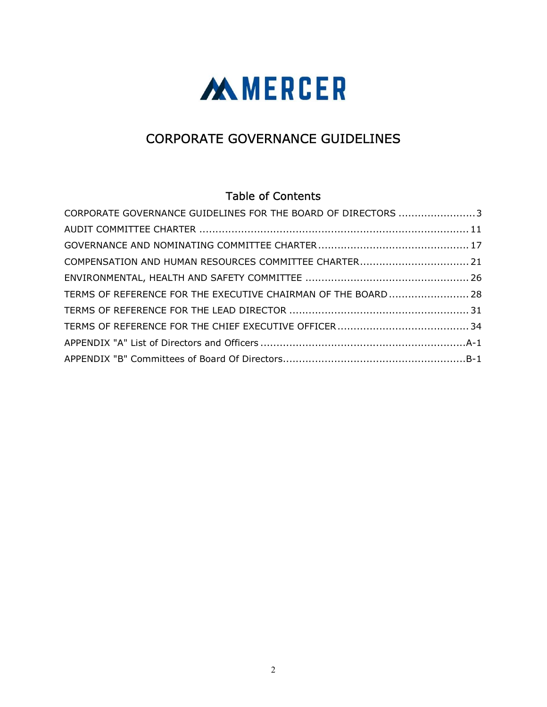

# CORPORATE GOVERNANCE GUIDELINES

# Table of Contents

| CORPORATE GOVERNANCE GUIDELINES FOR THE BOARD OF DIRECTORS 3  |  |
|---------------------------------------------------------------|--|
|                                                               |  |
|                                                               |  |
| COMPENSATION AND HUMAN RESOURCES COMMITTEE CHARTER 21         |  |
|                                                               |  |
| TERMS OF REFERENCE FOR THE EXECUTIVE CHAIRMAN OF THE BOARD 28 |  |
|                                                               |  |
|                                                               |  |
|                                                               |  |
|                                                               |  |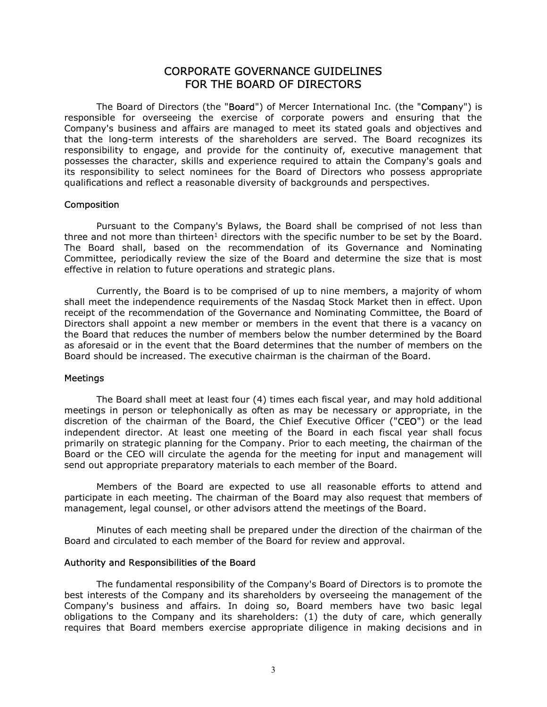# CORPORATE GOVERNANCE GUIDELINES FOR THE BOARD OF DIRECTORS

The Board of Directors (the "Board") of Mercer International Inc. (the "Company") is responsible for overseeing the exercise of corporate powers and ensuring that the Company's business and affairs are managed to meet its stated goals and objectives and that the long-term interests of the shareholders are served. The Board recognizes its responsibility to engage, and provide for the continuity of, executive management that possesses the character, skills and experience required to attain the Company's goals and its responsibility to select nominees for the Board of Directors who possess appropriate qualifications and reflect a reasonable diversity of backgrounds and perspectives.

#### Composition

Pursuant to the Company's Bylaws, the Board shall be comprised of not less than three and not more than thirteen<sup>1</sup> directors with the specific number to be set by the Board. The Board shall, based on the recommendation of its Governance and Nominating Committee, periodically review the size of the Board and determine the size that is most effective in relation to future operations and strategic plans.

Currently, the Board is to be comprised of up to nine members, a majority of whom shall meet the independence requirements of the Nasdaq Stock Market then in effect. Upon receipt of the recommendation of the Governance and Nominating Committee, the Board of Directors shall appoint a new member or members in the event that there is a vacancy on the Board that reduces the number of members below the number determined by the Board as aforesaid or in the event that the Board determines that the number of members on the Board should be increased. The executive chairman is the chairman of the Board.

#### **Meetings**

The Board shall meet at least four (4) times each fiscal year, and may hold additional meetings in person or telephonically as often as may be necessary or appropriate, in the discretion of the chairman of the Board, the Chief Executive Officer ("CEO") or the lead independent director. At least one meeting of the Board in each fiscal year shall focus primarily on strategic planning for the Company. Prior to each meeting, the chairman of the Board or the CEO will circulate the agenda for the meeting for input and management will send out appropriate preparatory materials to each member of the Board.

Members of the Board are expected to use all reasonable efforts to attend and participate in each meeting. The chairman of the Board may also request that members of management, legal counsel, or other advisors attend the meetings of the Board.

Minutes of each meeting shall be prepared under the direction of the chairman of the Board and circulated to each member of the Board for review and approval.

#### Authority and Responsibilities of the Board

The fundamental responsibility of the Company's Board of Directors is to promote the best interests of the Company and its shareholders by overseeing the management of the Company's business and affairs. In doing so, Board members have two basic legal obligations to the Company and its shareholders: (1) the duty of care, which generally requires that Board members exercise appropriate diligence in making decisions and in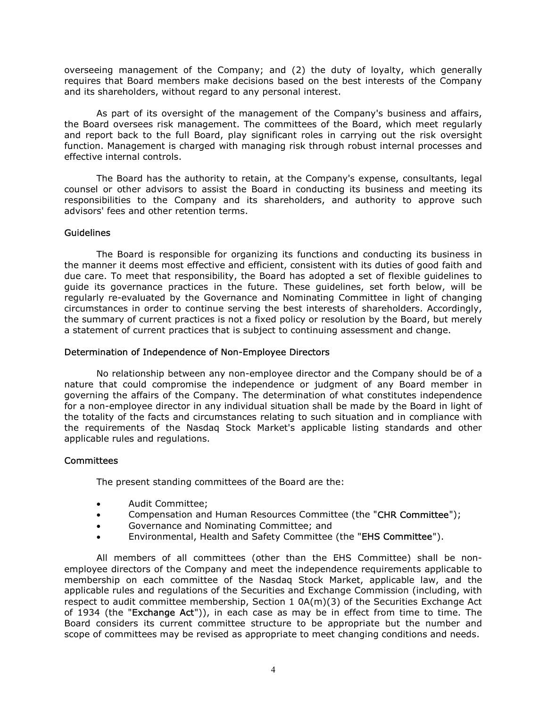overseeing management of the Company; and (2) the duty of loyalty, which generally requires that Board members make decisions based on the best interests of the Company and its shareholders, without regard to any personal interest.

As part of its oversight of the management of the Company's business and affairs, the Board oversees risk management. The committees of the Board, which meet regularly and report back to the full Board, play significant roles in carrying out the risk oversight function. Management is charged with managing risk through robust internal processes and effective internal controls.

The Board has the authority to retain, at the Company's expense, consultants, legal counsel or other advisors to assist the Board in conducting its business and meeting its responsibilities to the Company and its shareholders, and authority to approve such advisors' fees and other retention terms.

#### Guidelines

The Board is responsible for organizing its functions and conducting its business in the manner it deems most effective and efficient, consistent with its duties of good faith and due care. To meet that responsibility, the Board has adopted a set of flexible guidelines to guide its governance practices in the future. These guidelines, set forth below, will be regularly re-evaluated by the Governance and Nominating Committee in light of changing circumstances in order to continue serving the best interests of shareholders. Accordingly, the summary of current practices is not a fixed policy or resolution by the Board, but merely a statement of current practices that is subject to continuing assessment and change.

#### Determination of Independence of Non-Employee Directors

No relationship between any non-employee director and the Company should be of a nature that could compromise the independence or judgment of any Board member in governing the affairs of the Company. The determination of what constitutes independence for a non-employee director in any individual situation shall be made by the Board in light of the totality of the facts and circumstances relating to such situation and in compliance with the requirements of the Nasdaq Stock Market's applicable listing standards and other applicable rules and regulations.

# **Committees**

The present standing committees of the Board are the:

- Audit Committee;
- Compensation and Human Resources Committee (the "CHR Committee");
- Governance and Nominating Committee; and
- Environmental, Health and Safety Committee (the "EHS Committee").

All members of all committees (other than the EHS Committee) shall be nonemployee directors of the Company and meet the independence requirements applicable to membership on each committee of the Nasdaq Stock Market, applicable law, and the applicable rules and regulations of the Securities and Exchange Commission (including, with respect to audit committee membership, Section 1 0A(m)(3) of the Securities Exchange Act of 1934 (the "Exchange Act")), in each case as may be in effect from time to time. The Board considers its current committee structure to be appropriate but the number and scope of committees may be revised as appropriate to meet changing conditions and needs.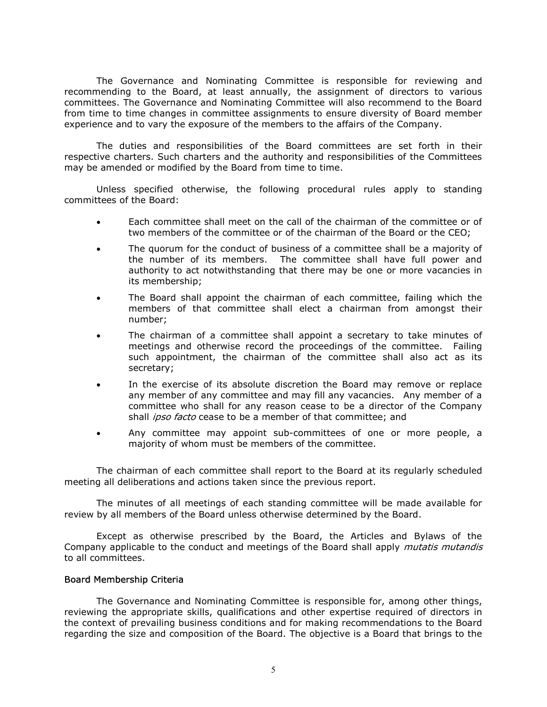The Governance and Nominating Committee is responsible for reviewing and recommending to the Board, at least annually, the assignment of directors to various committees. The Governance and Nominating Committee will also recommend to the Board from time to time changes in committee assignments to ensure diversity of Board member experience and to vary the exposure of the members to the affairs of the Company.

The duties and responsibilities of the Board committees are set forth in their respective charters. Such charters and the authority and responsibilities of the Committees may be amended or modified by the Board from time to time.

Unless specified otherwise, the following procedural rules apply to standing committees of the Board:

- Each committee shall meet on the call of the chairman of the committee or of two members of the committee or of the chairman of the Board or the CEO;
- The quorum for the conduct of business of a committee shall be a majority of the number of its members. The committee shall have full power and authority to act notwithstanding that there may be one or more vacancies in its membership;
- The Board shall appoint the chairman of each committee, failing which the members of that committee shall elect a chairman from amongst their number;
- The chairman of a committee shall appoint a secretary to take minutes of meetings and otherwise record the proceedings of the committee. Failing such appointment, the chairman of the committee shall also act as its secretary;
- In the exercise of its absolute discretion the Board may remove or replace any member of any committee and may fill any vacancies. Any member of a committee who shall for any reason cease to be a director of the Company shall *ipso facto* cease to be a member of that committee; and
- Any committee may appoint sub-committees of one or more people, a majority of whom must be members of the committee.

The chairman of each committee shall report to the Board at its regularly scheduled meeting all deliberations and actions taken since the previous report.

The minutes of all meetings of each standing committee will be made available for review by all members of the Board unless otherwise determined by the Board.

Except as otherwise prescribed by the Board, the Articles and Bylaws of the Company applicable to the conduct and meetings of the Board shall apply *mutatis mutandis* to all committees.

# Board Membership Criteria

The Governance and Nominating Committee is responsible for, among other things, reviewing the appropriate skills, qualifications and other expertise required of directors in the context of prevailing business conditions and for making recommendations to the Board regarding the size and composition of the Board. The objective is a Board that brings to the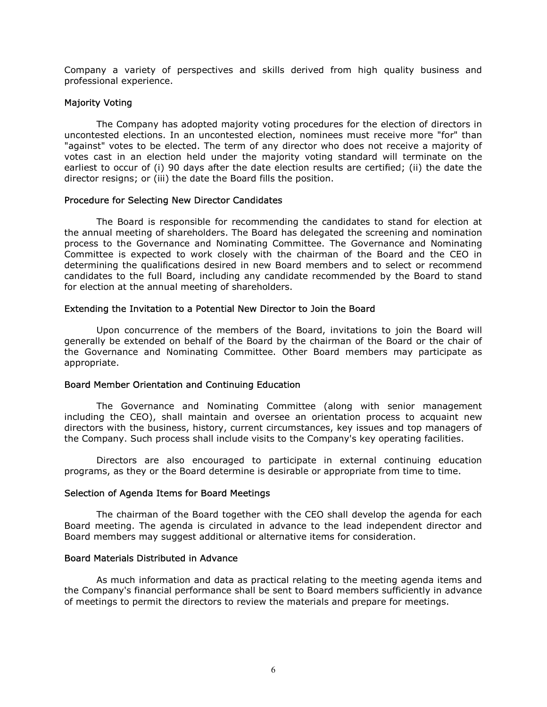Company a variety of perspectives and skills derived from high quality business and professional experience.

# Majority Voting

The Company has adopted majority voting procedures for the election of directors in uncontested elections. In an uncontested election, nominees must receive more "for" than "against" votes to be elected. The term of any director who does not receive a majority of votes cast in an election held under the majority voting standard will terminate on the earliest to occur of (i) 90 days after the date election results are certified; (ii) the date the director resigns; or (iii) the date the Board fills the position.

#### Procedure for Selecting New Director Candidates

The Board is responsible for recommending the candidates to stand for election at the annual meeting of shareholders. The Board has delegated the screening and nomination process to the Governance and Nominating Committee. The Governance and Nominating Committee is expected to work closely with the chairman of the Board and the CEO in determining the qualifications desired in new Board members and to select or recommend candidates to the full Board, including any candidate recommended by the Board to stand for election at the annual meeting of shareholders.

# Extending the Invitation to a Potential New Director to Join the Board

Upon concurrence of the members of the Board, invitations to join the Board will generally be extended on behalf of the Board by the chairman of the Board or the chair of the Governance and Nominating Committee. Other Board members may participate as appropriate.

#### Board Member Orientation and Continuing Education

The Governance and Nominating Committee (along with senior management including the CEO), shall maintain and oversee an orientation process to acquaint new directors with the business, history, current circumstances, key issues and top managers of the Company. Such process shall include visits to the Company's key operating facilities.

Directors are also encouraged to participate in external continuing education programs, as they or the Board determine is desirable or appropriate from time to time.

# Selection of Agenda Items for Board Meetings

The chairman of the Board together with the CEO shall develop the agenda for each Board meeting. The agenda is circulated in advance to the lead independent director and Board members may suggest additional or alternative items for consideration.

#### Board Materials Distributed in Advance

As much information and data as practical relating to the meeting agenda items and the Company's financial performance shall be sent to Board members sufficiently in advance of meetings to permit the directors to review the materials and prepare for meetings.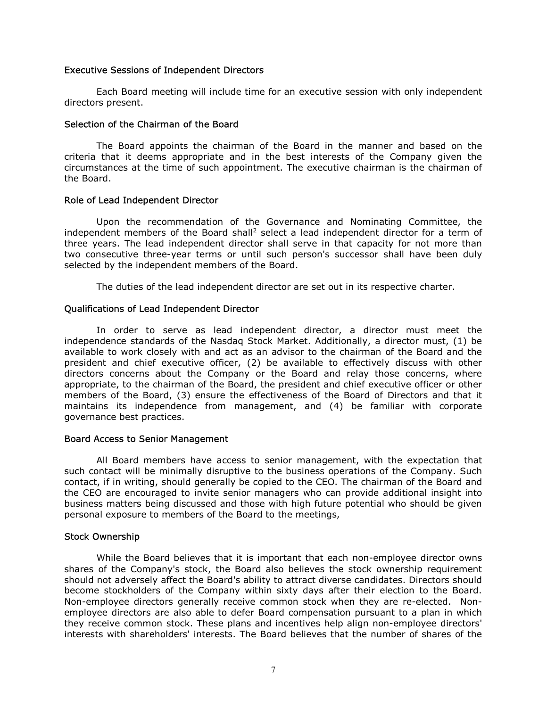#### Executive Sessions of Independent Directors

Each Board meeting will include time for an executive session with only independent directors present.

#### Selection of the Chairman of the Board

The Board appoints the chairman of the Board in the manner and based on the criteria that it deems appropriate and in the best interests of the Company given the circumstances at the time of such appointment. The executive chairman is the chairman of the Board.

#### Role of Lead Independent Director

Upon the recommendation of the Governance and Nominating Committee, the independent members of the Board shall<sup>2</sup> select a lead independent director for a term of three years. The lead independent director shall serve in that capacity for not more than two consecutive three-year terms or until such person's successor shall have been duly selected by the independent members of the Board.

The duties of the lead independent director are set out in its respective charter.

# Qualifications of Lead Independent Director

In order to serve as lead independent director, a director must meet the independence standards of the Nasdaq Stock Market. Additionally, a director must, (1) be available to work closely with and act as an advisor to the chairman of the Board and the president and chief executive officer, (2) be available to effectively discuss with other directors concerns about the Company or the Board and relay those concerns, where appropriate, to the chairman of the Board, the president and chief executive officer or other members of the Board, (3) ensure the effectiveness of the Board of Directors and that it maintains its independence from management, and (4) be familiar with corporate governance best practices.

#### Board Access to Senior Management

All Board members have access to senior management, with the expectation that such contact will be minimally disruptive to the business operations of the Company. Such contact, if in writing, should generally be copied to the CEO. The chairman of the Board and the CEO are encouraged to invite senior managers who can provide additional insight into business matters being discussed and those with high future potential who should be given personal exposure to members of the Board to the meetings,

#### Stock Ownership

While the Board believes that it is important that each non-employee director owns shares of the Company's stock, the Board also believes the stock ownership requirement should not adversely affect the Board's ability to attract diverse candidates. Directors should become stockholders of the Company within sixty days after their election to the Board. Non-employee directors generally receive common stock when they are re-elected. Nonemployee directors are also able to defer Board compensation pursuant to a plan in which they receive common stock. These plans and incentives help align non-employee directors' interests with shareholders' interests. The Board believes that the number of shares of the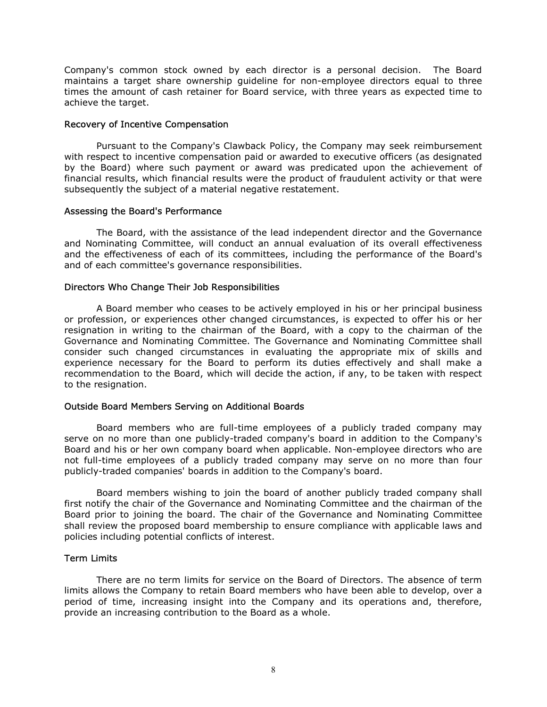Company's common stock owned by each director is a personal decision. The Board maintains a target share ownership guideline for non-employee directors equal to three times the amount of cash retainer for Board service, with three years as expected time to achieve the target.

#### Recovery of Incentive Compensation

Pursuant to the Company's Clawback Policy, the Company may seek reimbursement with respect to incentive compensation paid or awarded to executive officers (as designated by the Board) where such payment or award was predicated upon the achievement of financial results, which financial results were the product of fraudulent activity or that were subsequently the subject of a material negative restatement.

#### Assessing the Board's Performance

The Board, with the assistance of the lead independent director and the Governance and Nominating Committee, will conduct an annual evaluation of its overall effectiveness and the effectiveness of each of its committees, including the performance of the Board's and of each committee's governance responsibilities.

# Directors Who Change Their Job Responsibilities

A Board member who ceases to be actively employed in his or her principal business or profession, or experiences other changed circumstances, is expected to offer his or her resignation in writing to the chairman of the Board, with a copy to the chairman of the Governance and Nominating Committee. The Governance and Nominating Committee shall consider such changed circumstances in evaluating the appropriate mix of skills and experience necessary for the Board to perform its duties effectively and shall make a recommendation to the Board, which will decide the action, if any, to be taken with respect to the resignation.

# Outside Board Members Serving on Additional Boards

Board members who are full-time employees of a publicly traded company may serve on no more than one publicly-traded company's board in addition to the Company's Board and his or her own company board when applicable. Non-employee directors who are not full-time employees of a publicly traded company may serve on no more than four publicly-traded companies' boards in addition to the Company's board.

Board members wishing to join the board of another publicly traded company shall first notify the chair of the Governance and Nominating Committee and the chairman of the Board prior to joining the board. The chair of the Governance and Nominating Committee shall review the proposed board membership to ensure compliance with applicable laws and policies including potential conflicts of interest.

# Term Limits

There are no term limits for service on the Board of Directors. The absence of term limits allows the Company to retain Board members who have been able to develop, over a period of time, increasing insight into the Company and its operations and, therefore, provide an increasing contribution to the Board as a whole.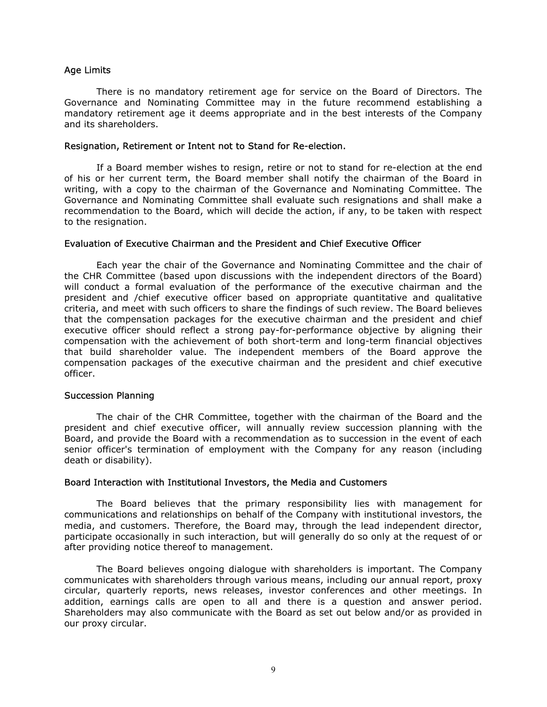#### Age Limits

There is no mandatory retirement age for service on the Board of Directors. The Governance and Nominating Committee may in the future recommend establishing a mandatory retirement age it deems appropriate and in the best interests of the Company and its shareholders.

#### Resignation, Retirement or Intent not to Stand for Re-election.

If a Board member wishes to resign, retire or not to stand for re-election at the end of his or her current term, the Board member shall notify the chairman of the Board in writing, with a copy to the chairman of the Governance and Nominating Committee. The Governance and Nominating Committee shall evaluate such resignations and shall make a recommendation to the Board, which will decide the action, if any, to be taken with respect to the resignation.

#### Evaluation of Executive Chairman and the President and Chief Executive Officer

Each year the chair of the Governance and Nominating Committee and the chair of the CHR Committee (based upon discussions with the independent directors of the Board) will conduct a formal evaluation of the performance of the executive chairman and the president and /chief executive officer based on appropriate quantitative and qualitative criteria, and meet with such officers to share the findings of such review. The Board believes that the compensation packages for the executive chairman and the president and chief executive officer should reflect a strong pay-for-performance objective by aligning their compensation with the achievement of both short-term and long-term financial objectives that build shareholder value. The independent members of the Board approve the compensation packages of the executive chairman and the president and chief executive officer.

# Succession Planning

The chair of the CHR Committee, together with the chairman of the Board and the president and chief executive officer, will annually review succession planning with the Board, and provide the Board with a recommendation as to succession in the event of each senior officer's termination of employment with the Company for any reason (including death or disability).

# Board Interaction with Institutional Investors, the Media and Customers

The Board believes that the primary responsibility lies with management for communications and relationships on behalf of the Company with institutional investors, the media, and customers. Therefore, the Board may, through the lead independent director, participate occasionally in such interaction, but will generally do so only at the request of or after providing notice thereof to management.

The Board believes ongoing dialogue with shareholders is important. The Company communicates with shareholders through various means, including our annual report, proxy circular, quarterly reports, news releases, investor conferences and other meetings. In addition, earnings calls are open to all and there is a question and answer period. Shareholders may also communicate with the Board as set out below and/or as provided in our proxy circular.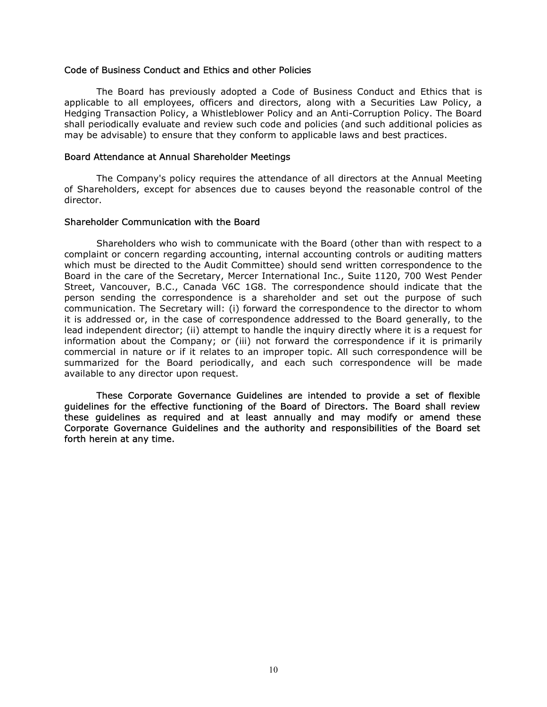#### Code of Business Conduct and Ethics and other Policies

The Board has previously adopted a Code of Business Conduct and Ethics that is applicable to all employees, officers and directors, along with a Securities Law Policy, a Hedging Transaction Policy, a Whistleblower Policy and an Anti-Corruption Policy. The Board shall periodically evaluate and review such code and policies (and such additional policies as may be advisable) to ensure that they conform to applicable laws and best practices.

#### Board Attendance at Annual Shareholder Meetings

The Company's policy requires the attendance of all directors at the Annual Meeting of Shareholders, except for absences due to causes beyond the reasonable control of the director.

#### Shareholder Communication with the Board

Shareholders who wish to communicate with the Board (other than with respect to a complaint or concern regarding accounting, internal accounting controls or auditing matters which must be directed to the Audit Committee) should send written correspondence to the Board in the care of the Secretary, Mercer International Inc., Suite 1120, 700 West Pender Street, Vancouver, B.C., Canada V6C 1G8. The correspondence should indicate that the person sending the correspondence is a shareholder and set out the purpose of such communication. The Secretary will: (i) forward the correspondence to the director to whom it is addressed or, in the case of correspondence addressed to the Board generally, to the lead independent director; (ii) attempt to handle the inquiry directly where it is a request for information about the Company; or (iii) not forward the correspondence if it is primarily commercial in nature or if it relates to an improper topic. All such correspondence will be summarized for the Board periodically, and each such correspondence will be made available to any director upon request.

These Corporate Governance Guidelines are intended to provide a set of flexible guidelines for the effective functioning of the Board of Directors. The Board shall review these guidelines as required and at least annually and may modify or amend these Corporate Governance Guidelines and the authority and responsibilities of the Board set forth herein at any time.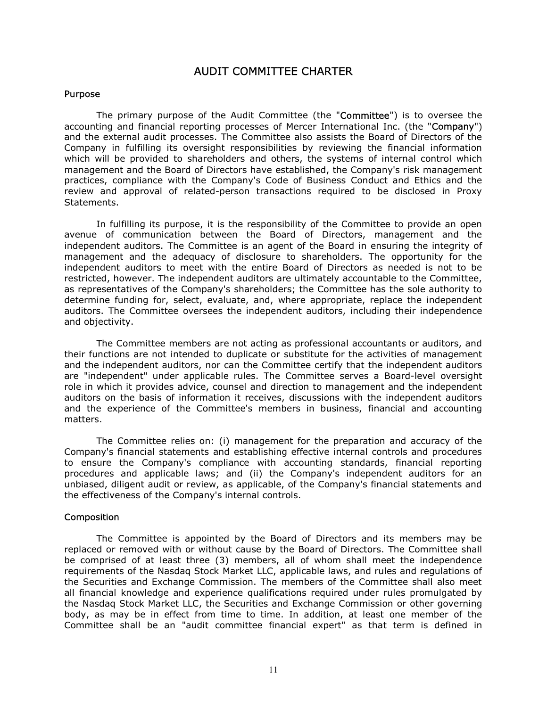# AUDIT COMMITTEE CHARTER

#### Purpose

The primary purpose of the Audit Committee (the "Committee") is to oversee the accounting and financial reporting processes of Mercer International Inc. (the "Company") and the external audit processes. The Committee also assists the Board of Directors of the Company in fulfilling its oversight responsibilities by reviewing the financial information which will be provided to shareholders and others, the systems of internal control which management and the Board of Directors have established, the Company's risk management practices, compliance with the Company's Code of Business Conduct and Ethics and the review and approval of related-person transactions required to be disclosed in Proxy Statements.

In fulfilling its purpose, it is the responsibility of the Committee to provide an open avenue of communication between the Board of Directors, management and the independent auditors. The Committee is an agent of the Board in ensuring the integrity of management and the adequacy of disclosure to shareholders. The opportunity for the independent auditors to meet with the entire Board of Directors as needed is not to be restricted, however. The independent auditors are ultimately accountable to the Committee, as representatives of the Company's shareholders; the Committee has the sole authority to determine funding for, select, evaluate, and, where appropriate, replace the independent auditors. The Committee oversees the independent auditors, including their independence and objectivity.

The Committee members are not acting as professional accountants or auditors, and their functions are not intended to duplicate or substitute for the activities of management and the independent auditors, nor can the Committee certify that the independent auditors are "independent" under applicable rules. The Committee serves a Board-level oversight role in which it provides advice, counsel and direction to management and the independent auditors on the basis of information it receives, discussions with the independent auditors and the experience of the Committee's members in business, financial and accounting matters.

The Committee relies on: (i) management for the preparation and accuracy of the Company's financial statements and establishing effective internal controls and procedures to ensure the Company's compliance with accounting standards, financial reporting procedures and applicable laws; and (ii) the Company's independent auditors for an unbiased, diligent audit or review, as applicable, of the Company's financial statements and the effectiveness of the Company's internal controls.

#### Composition

The Committee is appointed by the Board of Directors and its members may be replaced or removed with or without cause by the Board of Directors. The Committee shall be comprised of at least three (3) members, all of whom shall meet the independence requirements of the Nasdaq Stock Market LLC, applicable laws, and rules and regulations of the Securities and Exchange Commission. The members of the Committee shall also meet all financial knowledge and experience qualifications required under rules promulgated by the Nasdaq Stock Market LLC, the Securities and Exchange Commission or other governing body, as may be in effect from time to time. In addition, at least one member of the Committee shall be an "audit committee financial expert" as that term is defined in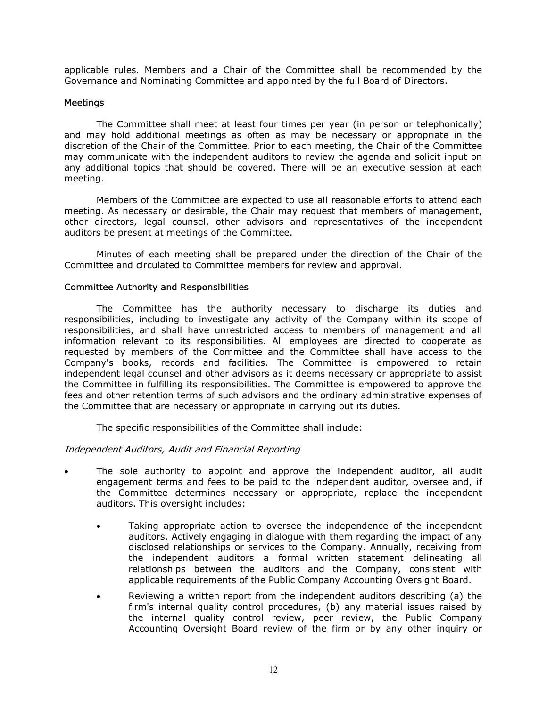applicable rules. Members and a Chair of the Committee shall be recommended by the Governance and Nominating Committee and appointed by the full Board of Directors.

# Meetings

The Committee shall meet at least four times per year (in person or telephonically) and may hold additional meetings as often as may be necessary or appropriate in the discretion of the Chair of the Committee. Prior to each meeting, the Chair of the Committee may communicate with the independent auditors to review the agenda and solicit input on any additional topics that should be covered. There will be an executive session at each meeting.

Members of the Committee are expected to use all reasonable efforts to attend each meeting. As necessary or desirable, the Chair may request that members of management, other directors, legal counsel, other advisors and representatives of the independent auditors be present at meetings of the Committee.

Minutes of each meeting shall be prepared under the direction of the Chair of the Committee and circulated to Committee members for review and approval.

#### Committee Authority and Responsibilities

The Committee has the authority necessary to discharge its duties and responsibilities, including to investigate any activity of the Company within its scope of responsibilities, and shall have unrestricted access to members of management and all information relevant to its responsibilities. All employees are directed to cooperate as requested by members of the Committee and the Committee shall have access to the Company's books, records and facilities. The Committee is empowered to retain independent legal counsel and other advisors as it deems necessary or appropriate to assist the Committee in fulfilling its responsibilities. The Committee is empowered to approve the fees and other retention terms of such advisors and the ordinary administrative expenses of the Committee that are necessary or appropriate in carrying out its duties.

The specific responsibilities of the Committee shall include:

# Independent Auditors, Audit and Financial Reporting

- The sole authority to appoint and approve the independent auditor, all audit engagement terms and fees to be paid to the independent auditor, oversee and, if the Committee determines necessary or appropriate, replace the independent auditors. This oversight includes:
	- Taking appropriate action to oversee the independence of the independent auditors. Actively engaging in dialogue with them regarding the impact of any disclosed relationships or services to the Company. Annually, receiving from the independent auditors a formal written statement delineating all relationships between the auditors and the Company, consistent with applicable requirements of the Public Company Accounting Oversight Board.
	- Reviewing a written report from the independent auditors describing (a) the firm's internal quality control procedures, (b) any material issues raised by the internal quality control review, peer review, the Public Company Accounting Oversight Board review of the firm or by any other inquiry or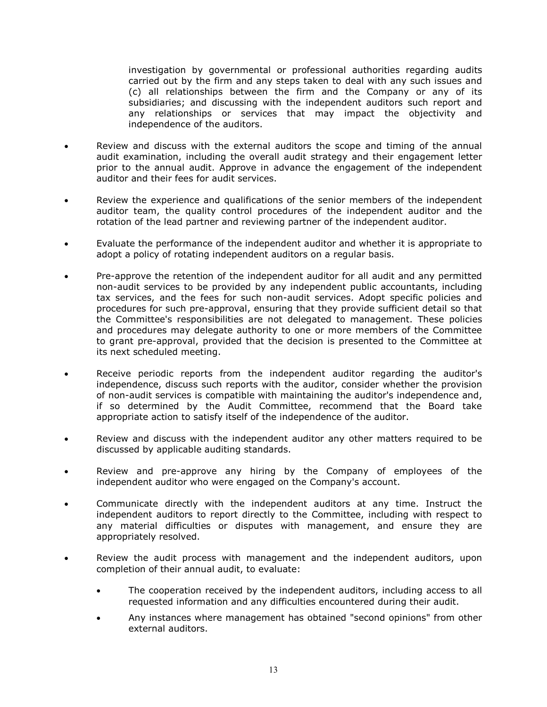investigation by governmental or professional authorities regarding audits carried out by the firm and any steps taken to deal with any such issues and (c) all relationships between the firm and the Company or any of its subsidiaries; and discussing with the independent auditors such report and any relationships or services that may impact the objectivity and independence of the auditors.

- Review and discuss with the external auditors the scope and timing of the annual audit examination, including the overall audit strategy and their engagement letter prior to the annual audit. Approve in advance the engagement of the independent auditor and their fees for audit services.
- Review the experience and qualifications of the senior members of the independent auditor team, the quality control procedures of the independent auditor and the rotation of the lead partner and reviewing partner of the independent auditor.
- Evaluate the performance of the independent auditor and whether it is appropriate to adopt a policy of rotating independent auditors on a regular basis.
- Pre-approve the retention of the independent auditor for all audit and any permitted non-audit services to be provided by any independent public accountants, including tax services, and the fees for such non-audit services. Adopt specific policies and procedures for such pre-approval, ensuring that they provide sufficient detail so that the Committee's responsibilities are not delegated to management. These policies and procedures may delegate authority to one or more members of the Committee to grant pre-approval, provided that the decision is presented to the Committee at its next scheduled meeting.
- Receive periodic reports from the independent auditor regarding the auditor's independence, discuss such reports with the auditor, consider whether the provision of non-audit services is compatible with maintaining the auditor's independence and, if so determined by the Audit Committee, recommend that the Board take appropriate action to satisfy itself of the independence of the auditor.
- Review and discuss with the independent auditor any other matters required to be discussed by applicable auditing standards.
- Review and pre-approve any hiring by the Company of employees of the independent auditor who were engaged on the Company's account.
- Communicate directly with the independent auditors at any time. Instruct the independent auditors to report directly to the Committee, including with respect to any material difficulties or disputes with management, and ensure they are appropriately resolved.
- Review the audit process with management and the independent auditors, upon completion of their annual audit, to evaluate:
	- The cooperation received by the independent auditors, including access to all requested information and any difficulties encountered during their audit.
	- Any instances where management has obtained "second opinions" from other external auditors.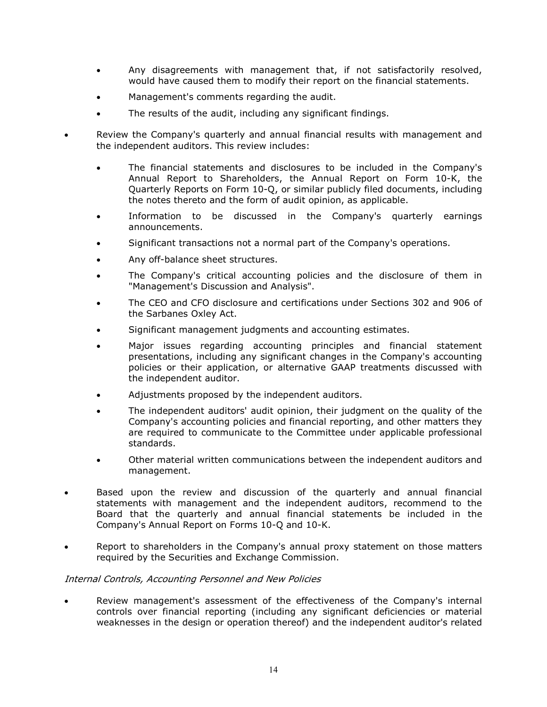- Any disagreements with management that, if not satisfactorily resolved, would have caused them to modify their report on the financial statements.
- Management's comments regarding the audit.
- The results of the audit, including any significant findings.
- Review the Company's quarterly and annual financial results with management and the independent auditors. This review includes:
	- The financial statements and disclosures to be included in the Company's Annual Report to Shareholders, the Annual Report on Form 10-K, the Quarterly Reports on Form 10-Q, or similar publicly filed documents, including the notes thereto and the form of audit opinion, as applicable.
	- Information to be discussed in the Company's quarterly earnings announcements.
	- Significant transactions not a normal part of the Company's operations.
	- Any off-balance sheet structures.
	- The Company's critical accounting policies and the disclosure of them in "Management's Discussion and Analysis".
	- The CEO and CFO disclosure and certifications under Sections 302 and 906 of the Sarbanes Oxley Act.
	- Significant management judgments and accounting estimates.
	- Major issues regarding accounting principles and financial statement presentations, including any significant changes in the Company's accounting policies or their application, or alternative GAAP treatments discussed with the independent auditor.
	- Adjustments proposed by the independent auditors.
	- The independent auditors' audit opinion, their judgment on the quality of the Company's accounting policies and financial reporting, and other matters they are required to communicate to the Committee under applicable professional standards.
	- Other material written communications between the independent auditors and management.
- Based upon the review and discussion of the quarterly and annual financial statements with management and the independent auditors, recommend to the Board that the quarterly and annual financial statements be included in the Company's Annual Report on Forms 10-Q and 10-K.
- Report to shareholders in the Company's annual proxy statement on those matters required by the Securities and Exchange Commission.

# Internal Controls, Accounting Personnel and New Policies

 Review management's assessment of the effectiveness of the Company's internal controls over financial reporting (including any significant deficiencies or material weaknesses in the design or operation thereof) and the independent auditor's related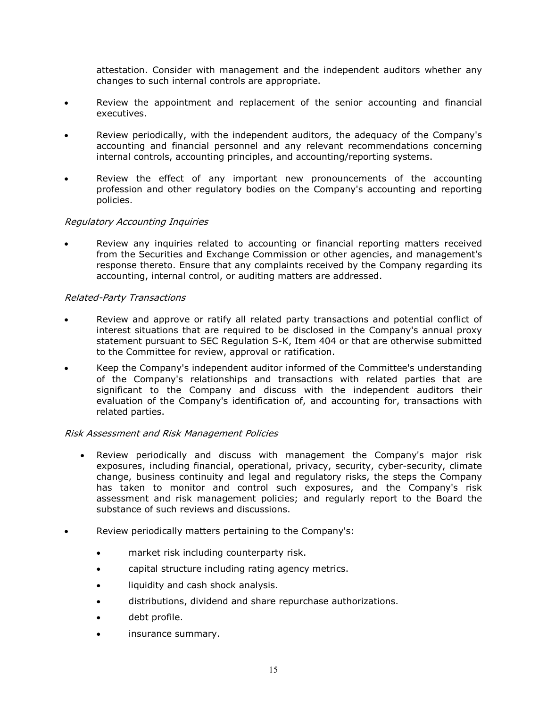attestation. Consider with management and the independent auditors whether any changes to such internal controls are appropriate.

- Review the appointment and replacement of the senior accounting and financial executives.
- Review periodically, with the independent auditors, the adequacy of the Company's accounting and financial personnel and any relevant recommendations concerning internal controls, accounting principles, and accounting/reporting systems.
- Review the effect of any important new pronouncements of the accounting profession and other regulatory bodies on the Company's accounting and reporting policies.

# Regulatory Accounting Inquiries

 Review any inquiries related to accounting or financial reporting matters received from the Securities and Exchange Commission or other agencies, and management's response thereto. Ensure that any complaints received by the Company regarding its accounting, internal control, or auditing matters are addressed.

# Related-Party Transactions

- Review and approve or ratify all related party transactions and potential conflict of interest situations that are required to be disclosed in the Company's annual proxy statement pursuant to SEC Regulation S-K, Item 404 or that are otherwise submitted to the Committee for review, approval or ratification.
- Keep the Company's independent auditor informed of the Committee's understanding of the Company's relationships and transactions with related parties that are significant to the Company and discuss with the independent auditors their evaluation of the Company's identification of, and accounting for, transactions with related parties.

# Risk Assessment and Risk Management Policies

- Review periodically and discuss with management the Company's major risk exposures, including financial, operational, privacy, security, cyber-security, climate change, business continuity and legal and regulatory risks, the steps the Company has taken to monitor and control such exposures, and the Company's risk assessment and risk management policies; and regularly report to the Board the substance of such reviews and discussions.
- Review periodically matters pertaining to the Company's:
	- market risk including counterparty risk.
	- capital structure including rating agency metrics.
	- liquidity and cash shock analysis.
	- distributions, dividend and share repurchase authorizations.
	- debt profile.
	- insurance summary.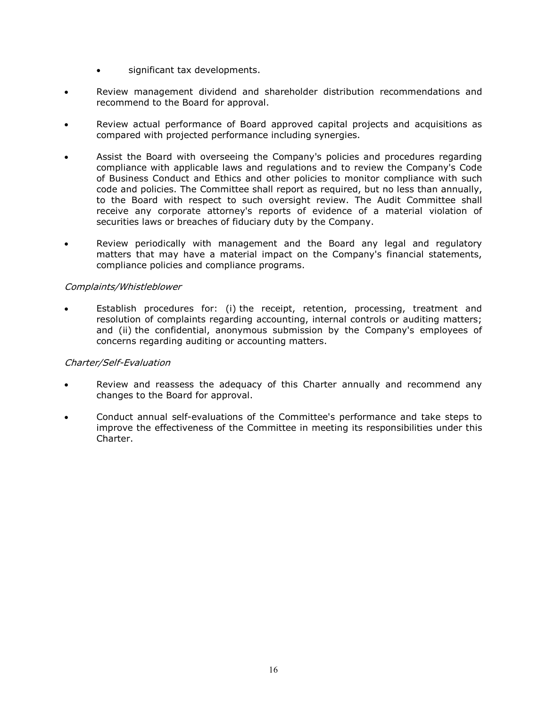- significant tax developments.
- Review management dividend and shareholder distribution recommendations and recommend to the Board for approval.
- Review actual performance of Board approved capital projects and acquisitions as compared with projected performance including synergies.
- Assist the Board with overseeing the Company's policies and procedures regarding compliance with applicable laws and regulations and to review the Company's Code of Business Conduct and Ethics and other policies to monitor compliance with such code and policies. The Committee shall report as required, but no less than annually, to the Board with respect to such oversight review. The Audit Committee shall receive any corporate attorney's reports of evidence of a material violation of securities laws or breaches of fiduciary duty by the Company.
- Review periodically with management and the Board any legal and regulatory matters that may have a material impact on the Company's financial statements, compliance policies and compliance programs.

# Complaints/Whistleblower

 Establish procedures for: (i) the receipt, retention, processing, treatment and resolution of complaints regarding accounting, internal controls or auditing matters; and (ii) the confidential, anonymous submission by the Company's employees of concerns regarding auditing or accounting matters.

# Charter/Self-Evaluation

- Review and reassess the adequacy of this Charter annually and recommend any changes to the Board for approval.
- Conduct annual self-evaluations of the Committee's performance and take steps to improve the effectiveness of the Committee in meeting its responsibilities under this Charter.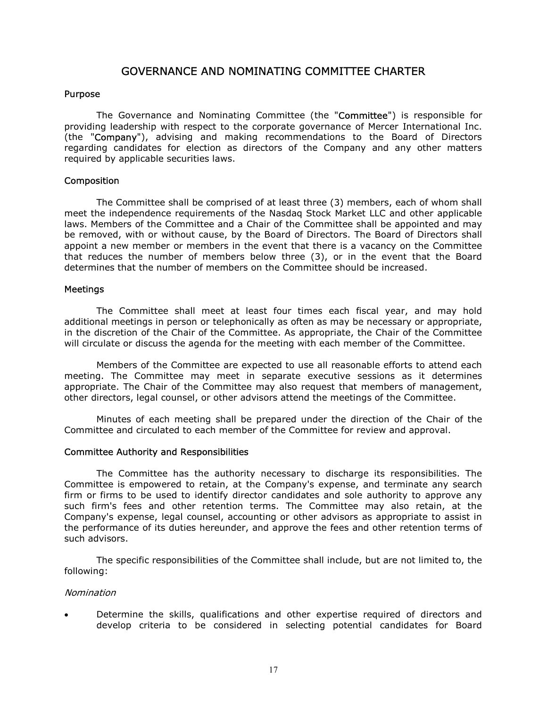# GOVERNANCE AND NOMINATING COMMITTEE CHARTER

# Purpose

The Governance and Nominating Committee (the "Committee") is responsible for providing leadership with respect to the corporate governance of Mercer International Inc. (the "Company"), advising and making recommendations to the Board of Directors regarding candidates for election as directors of the Company and any other matters required by applicable securities laws.

### Composition

The Committee shall be comprised of at least three (3) members, each of whom shall meet the independence requirements of the Nasdaq Stock Market LLC and other applicable laws. Members of the Committee and a Chair of the Committee shall be appointed and may be removed, with or without cause, by the Board of Directors. The Board of Directors shall appoint a new member or members in the event that there is a vacancy on the Committee that reduces the number of members below three (3), or in the event that the Board determines that the number of members on the Committee should be increased.

#### **Meetings**

The Committee shall meet at least four times each fiscal year, and may hold additional meetings in person or telephonically as often as may be necessary or appropriate, in the discretion of the Chair of the Committee. As appropriate, the Chair of the Committee will circulate or discuss the agenda for the meeting with each member of the Committee.

Members of the Committee are expected to use all reasonable efforts to attend each meeting. The Committee may meet in separate executive sessions as it determines appropriate. The Chair of the Committee may also request that members of management, other directors, legal counsel, or other advisors attend the meetings of the Committee.

Minutes of each meeting shall be prepared under the direction of the Chair of the Committee and circulated to each member of the Committee for review and approval.

#### Committee Authority and Responsibilities

The Committee has the authority necessary to discharge its responsibilities. The Committee is empowered to retain, at the Company's expense, and terminate any search firm or firms to be used to identify director candidates and sole authority to approve any such firm's fees and other retention terms. The Committee may also retain, at the Company's expense, legal counsel, accounting or other advisors as appropriate to assist in the performance of its duties hereunder, and approve the fees and other retention terms of such advisors.

The specific responsibilities of the Committee shall include, but are not limited to, the following:

#### Nomination

 Determine the skills, qualifications and other expertise required of directors and develop criteria to be considered in selecting potential candidates for Board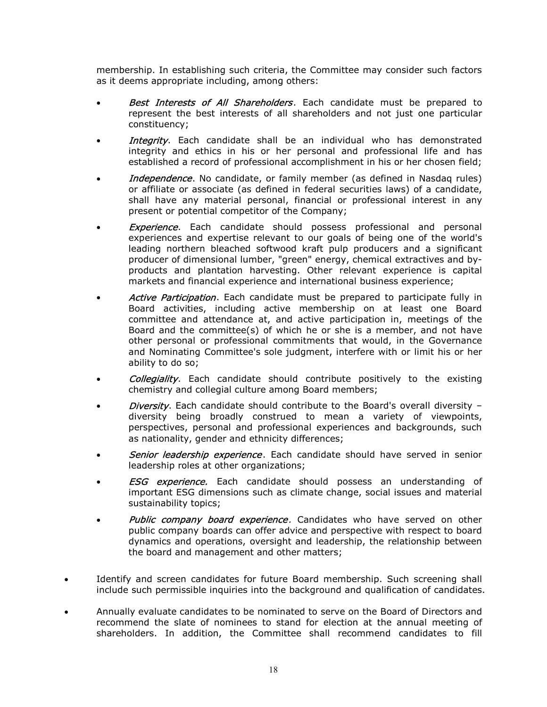membership. In establishing such criteria, the Committee may consider such factors as it deems appropriate including, among others:

- **Best Interests of All Shareholders**. Each candidate must be prepared to represent the best interests of all shareholders and not just one particular constituency;
- Integrity. Each candidate shall be an individual who has demonstrated integrity and ethics in his or her personal and professional life and has established a record of professional accomplishment in his or her chosen field;
- Independence. No candidate, or family member (as defined in Nasdaq rules) or affiliate or associate (as defined in federal securities laws) of a candidate, shall have any material personal, financial or professional interest in any present or potential competitor of the Company;
- **Experience**. Each candidate should possess professional and personal experiences and expertise relevant to our goals of being one of the world's leading northern bleached softwood kraft pulp producers and a significant producer of dimensional lumber, "green" energy, chemical extractives and byproducts and plantation harvesting. Other relevant experience is capital markets and financial experience and international business experience;
- Active Participation. Each candidate must be prepared to participate fully in Board activities, including active membership on at least one Board committee and attendance at, and active participation in, meetings of the Board and the committee(s) of which he or she is a member, and not have other personal or professional commitments that would, in the Governance and Nominating Committee's sole judgment, interfere with or limit his or her ability to do so;
- Collegiality. Each candidate should contribute positively to the existing chemistry and collegial culture among Board members;
- Diversity. Each candidate should contribute to the Board's overall diversity  $$ diversity being broadly construed to mean a variety of viewpoints, perspectives, personal and professional experiences and backgrounds, such as nationality, gender and ethnicity differences;
- Senior leadership experience. Each candidate should have served in senior leadership roles at other organizations;
- **ESG** experience. Each candidate should possess an understanding of important ESG dimensions such as climate change, social issues and material sustainability topics;
- Public company board experience. Candidates who have served on other public company boards can offer advice and perspective with respect to board dynamics and operations, oversight and leadership, the relationship between the board and management and other matters;
- Identify and screen candidates for future Board membership. Such screening shall include such permissible inquiries into the background and qualification of candidates.
- Annually evaluate candidates to be nominated to serve on the Board of Directors and recommend the slate of nominees to stand for election at the annual meeting of shareholders. In addition, the Committee shall recommend candidates to fill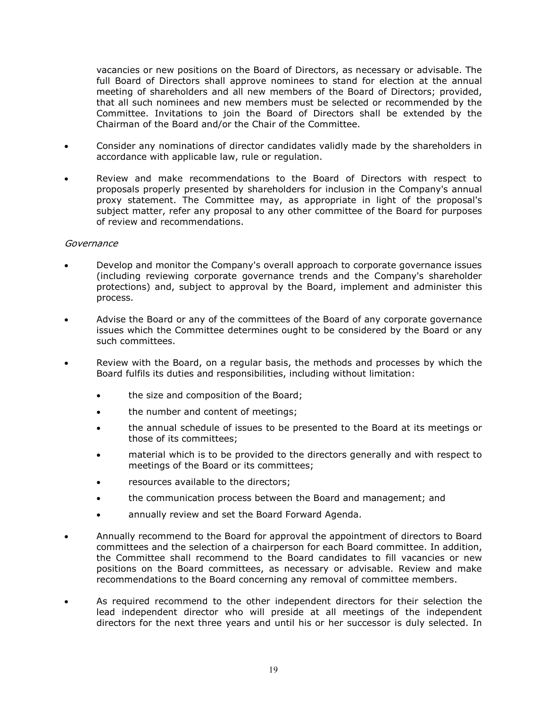vacancies or new positions on the Board of Directors, as necessary or advisable. The full Board of Directors shall approve nominees to stand for election at the annual meeting of shareholders and all new members of the Board of Directors; provided, that all such nominees and new members must be selected or recommended by the Committee. Invitations to join the Board of Directors shall be extended by the Chairman of the Board and/or the Chair of the Committee.

- Consider any nominations of director candidates validly made by the shareholders in accordance with applicable law, rule or regulation.
- Review and make recommendations to the Board of Directors with respect to proposals properly presented by shareholders for inclusion in the Company's annual proxy statement. The Committee may, as appropriate in light of the proposal's subject matter, refer any proposal to any other committee of the Board for purposes of review and recommendations.

#### Governance

- Develop and monitor the Company's overall approach to corporate governance issues (including reviewing corporate governance trends and the Company's shareholder protections) and, subject to approval by the Board, implement and administer this process.
- Advise the Board or any of the committees of the Board of any corporate governance issues which the Committee determines ought to be considered by the Board or any such committees.
- Review with the Board, on a regular basis, the methods and processes by which the Board fulfils its duties and responsibilities, including without limitation:
	- the size and composition of the Board;
	- the number and content of meetings;
	- the annual schedule of issues to be presented to the Board at its meetings or those of its committees;
	- material which is to be provided to the directors generally and with respect to meetings of the Board or its committees;
	- resources available to the directors;
	- the communication process between the Board and management; and
	- annually review and set the Board Forward Agenda.
- Annually recommend to the Board for approval the appointment of directors to Board committees and the selection of a chairperson for each Board committee. In addition, the Committee shall recommend to the Board candidates to fill vacancies or new positions on the Board committees, as necessary or advisable. Review and make recommendations to the Board concerning any removal of committee members.
- As required recommend to the other independent directors for their selection the lead independent director who will preside at all meetings of the independent directors for the next three years and until his or her successor is duly selected. In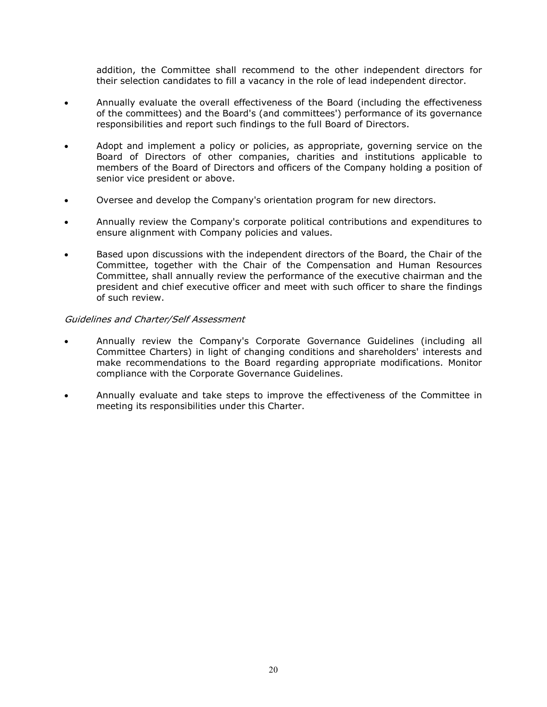addition, the Committee shall recommend to the other independent directors for their selection candidates to fill a vacancy in the role of lead independent director.

- Annually evaluate the overall effectiveness of the Board (including the effectiveness of the committees) and the Board's (and committees') performance of its governance responsibilities and report such findings to the full Board of Directors.
- Adopt and implement a policy or policies, as appropriate, governing service on the Board of Directors of other companies, charities and institutions applicable to members of the Board of Directors and officers of the Company holding a position of senior vice president or above.
- Oversee and develop the Company's orientation program for new directors.
- Annually review the Company's corporate political contributions and expenditures to ensure alignment with Company policies and values.
- Based upon discussions with the independent directors of the Board, the Chair of the Committee, together with the Chair of the Compensation and Human Resources Committee, shall annually review the performance of the executive chairman and the president and chief executive officer and meet with such officer to share the findings of such review.

#### Guidelines and Charter/Self Assessment

- Annually review the Company's Corporate Governance Guidelines (including all Committee Charters) in light of changing conditions and shareholders' interests and make recommendations to the Board regarding appropriate modifications. Monitor compliance with the Corporate Governance Guidelines.
- Annually evaluate and take steps to improve the effectiveness of the Committee in meeting its responsibilities under this Charter.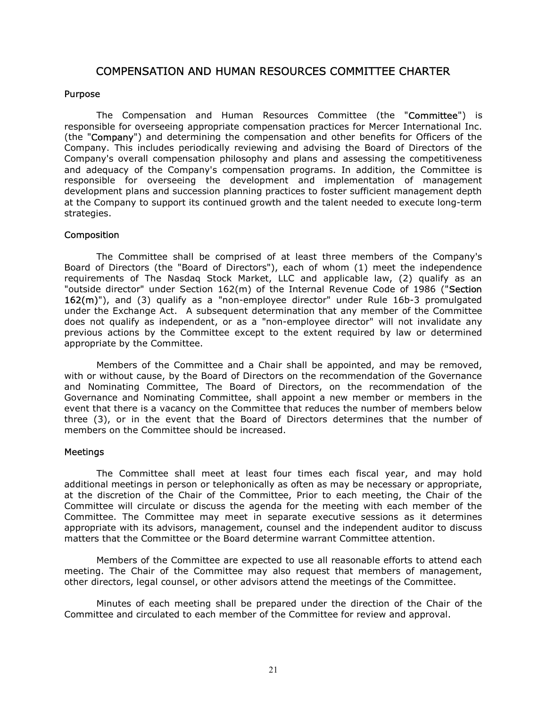# COMPENSATION AND HUMAN RESOURCES COMMITTEE CHARTER

#### Purpose

The Compensation and Human Resources Committee (the "Committee") is responsible for overseeing appropriate compensation practices for Mercer International Inc. (the "Company") and determining the compensation and other benefits for Officers of the Company. This includes periodically reviewing and advising the Board of Directors of the Company's overall compensation philosophy and plans and assessing the competitiveness and adequacy of the Company's compensation programs. In addition, the Committee is responsible for overseeing the development and implementation of management development plans and succession planning practices to foster sufficient management depth at the Company to support its continued growth and the talent needed to execute long-term strategies.

#### Composition

The Committee shall be comprised of at least three members of the Company's Board of Directors (the "Board of Directors"), each of whom (1) meet the independence requirements of The Nasdaq Stock Market, LLC and applicable law, (2) qualify as an "outside director" under Section 162(m) of the Internal Revenue Code of 1986 ("Section 162(m)"), and (3) qualify as a "non-employee director" under Rule 16b-3 promulgated under the Exchange Act. A subsequent determination that any member of the Committee does not qualify as independent, or as a "non-employee director" will not invalidate any previous actions by the Committee except to the extent required by law or determined appropriate by the Committee.

Members of the Committee and a Chair shall be appointed, and may be removed, with or without cause, by the Board of Directors on the recommendation of the Governance and Nominating Committee, The Board of Directors, on the recommendation of the Governance and Nominating Committee, shall appoint a new member or members in the event that there is a vacancy on the Committee that reduces the number of members below three (3), or in the event that the Board of Directors determines that the number of members on the Committee should be increased.

#### Meetings

The Committee shall meet at least four times each fiscal year, and may hold additional meetings in person or telephonically as often as may be necessary or appropriate, at the discretion of the Chair of the Committee, Prior to each meeting, the Chair of the Committee will circulate or discuss the agenda for the meeting with each member of the Committee. The Committee may meet in separate executive sessions as it determines appropriate with its advisors, management, counsel and the independent auditor to discuss matters that the Committee or the Board determine warrant Committee attention.

Members of the Committee are expected to use all reasonable efforts to attend each meeting. The Chair of the Committee may also request that members of management, other directors, legal counsel, or other advisors attend the meetings of the Committee.

Minutes of each meeting shall be prepared under the direction of the Chair of the Committee and circulated to each member of the Committee for review and approval.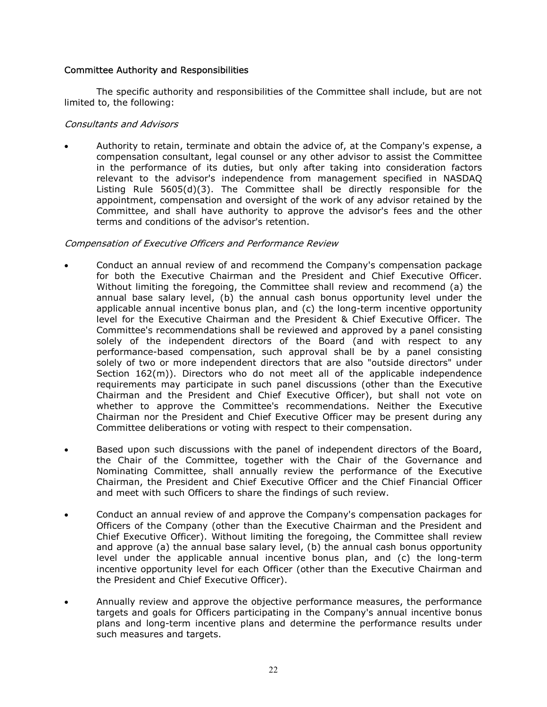# Committee Authority and Responsibilities

The specific authority and responsibilities of the Committee shall include, but are not limited to, the following:

### Consultants and Advisors

 Authority to retain, terminate and obtain the advice of, at the Company's expense, a compensation consultant, legal counsel or any other advisor to assist the Committee in the performance of its duties, but only after taking into consideration factors relevant to the advisor's independence from management specified in NASDAQ Listing Rule 5605(d)(3). The Committee shall be directly responsible for the appointment, compensation and oversight of the work of any advisor retained by the Committee, and shall have authority to approve the advisor's fees and the other terms and conditions of the advisor's retention.

# Compensation of Executive Officers and Performance Review

- Conduct an annual review of and recommend the Company's compensation package for both the Executive Chairman and the President and Chief Executive Officer. Without limiting the foregoing, the Committee shall review and recommend (a) the annual base salary level, (b) the annual cash bonus opportunity level under the applicable annual incentive bonus plan, and (c) the long-term incentive opportunity level for the Executive Chairman and the President & Chief Executive Officer. The Committee's recommendations shall be reviewed and approved by a panel consisting solely of the independent directors of the Board (and with respect to any performance-based compensation, such approval shall be by a panel consisting solely of two or more independent directors that are also "outside directors" under Section  $162(m)$ ). Directors who do not meet all of the applicable independence requirements may participate in such panel discussions (other than the Executive Chairman and the President and Chief Executive Officer), but shall not vote on whether to approve the Committee's recommendations. Neither the Executive Chairman nor the President and Chief Executive Officer may be present during any Committee deliberations or voting with respect to their compensation.
- Based upon such discussions with the panel of independent directors of the Board, the Chair of the Committee, together with the Chair of the Governance and Nominating Committee, shall annually review the performance of the Executive Chairman, the President and Chief Executive Officer and the Chief Financial Officer and meet with such Officers to share the findings of such review.
- Conduct an annual review of and approve the Company's compensation packages for Officers of the Company (other than the Executive Chairman and the President and Chief Executive Officer). Without limiting the foregoing, the Committee shall review and approve (a) the annual base salary level, (b) the annual cash bonus opportunity level under the applicable annual incentive bonus plan, and (c) the long-term incentive opportunity level for each Officer (other than the Executive Chairman and the President and Chief Executive Officer).
- Annually review and approve the objective performance measures, the performance targets and goals for Officers participating in the Company's annual incentive bonus plans and long-term incentive plans and determine the performance results under such measures and targets.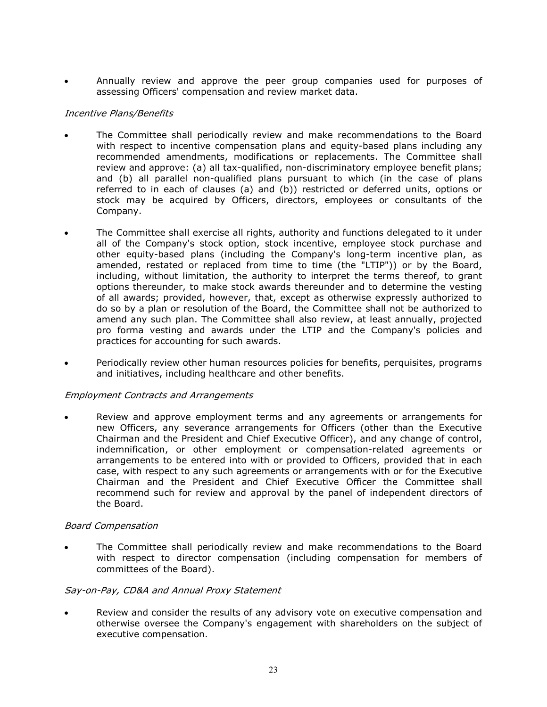Annually review and approve the peer group companies used for purposes of assessing Officers' compensation and review market data.

# Incentive Plans/Benefits

- The Committee shall periodically review and make recommendations to the Board with respect to incentive compensation plans and equity-based plans including any recommended amendments, modifications or replacements. The Committee shall review and approve: (a) all tax-qualified, non-discriminatory employee benefit plans; and (b) all parallel non-qualified plans pursuant to which (in the case of plans referred to in each of clauses (a) and (b)) restricted or deferred units, options or stock may be acquired by Officers, directors, employees or consultants of the Company.
- The Committee shall exercise all rights, authority and functions delegated to it under all of the Company's stock option, stock incentive, employee stock purchase and other equity-based plans (including the Company's long-term incentive plan, as amended, restated or replaced from time to time (the "LTIP")) or by the Board, including, without limitation, the authority to interpret the terms thereof, to grant options thereunder, to make stock awards thereunder and to determine the vesting of all awards; provided, however, that, except as otherwise expressly authorized to do so by a plan or resolution of the Board, the Committee shall not be authorized to amend any such plan. The Committee shall also review, at least annually, projected pro forma vesting and awards under the LTIP and the Company's policies and practices for accounting for such awards.
- Periodically review other human resources policies for benefits, perquisites, programs and initiatives, including healthcare and other benefits.

# Employment Contracts and Arrangements

 Review and approve employment terms and any agreements or arrangements for new Officers, any severance arrangements for Officers (other than the Executive Chairman and the President and Chief Executive Officer), and any change of control, indemnification, or other employment or compensation-related agreements or arrangements to be entered into with or provided to Officers, provided that in each case, with respect to any such agreements or arrangements with or for the Executive Chairman and the President and Chief Executive Officer the Committee shall recommend such for review and approval by the panel of independent directors of the Board.

# Board Compensation

 The Committee shall periodically review and make recommendations to the Board with respect to director compensation (including compensation for members of committees of the Board).

# Say-on-Pay, CD&A and Annual Proxy Statement

 Review and consider the results of any advisory vote on executive compensation and otherwise oversee the Company's engagement with shareholders on the subject of executive compensation.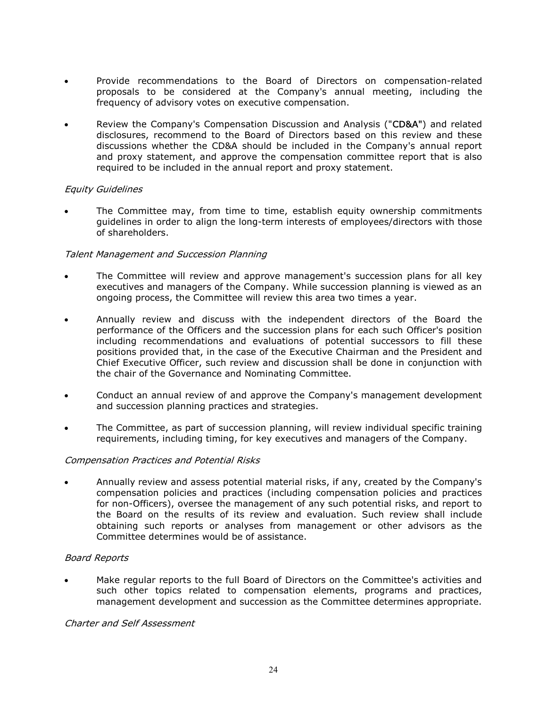- Provide recommendations to the Board of Directors on compensation-related proposals to be considered at the Company's annual meeting, including the frequency of advisory votes on executive compensation.
- Review the Company's Compensation Discussion and Analysis ("CD&A") and related disclosures, recommend to the Board of Directors based on this review and these discussions whether the CD&A should be included in the Company's annual report and proxy statement, and approve the compensation committee report that is also required to be included in the annual report and proxy statement.

# Equity Guidelines

 The Committee may, from time to time, establish equity ownership commitments guidelines in order to align the long-term interests of employees/directors with those of shareholders.

# Talent Management and Succession Planning

- The Committee will review and approve management's succession plans for all key executives and managers of the Company. While succession planning is viewed as an ongoing process, the Committee will review this area two times a year.
- Annually review and discuss with the independent directors of the Board the performance of the Officers and the succession plans for each such Officer's position including recommendations and evaluations of potential successors to fill these positions provided that, in the case of the Executive Chairman and the President and Chief Executive Officer, such review and discussion shall be done in conjunction with the chair of the Governance and Nominating Committee.
- Conduct an annual review of and approve the Company's management development and succession planning practices and strategies.
- The Committee, as part of succession planning, will review individual specific training requirements, including timing, for key executives and managers of the Company.

# Compensation Practices and Potential Risks

 Annually review and assess potential material risks, if any, created by the Company's compensation policies and practices (including compensation policies and practices for non-Officers), oversee the management of any such potential risks, and report to the Board on the results of its review and evaluation. Such review shall include obtaining such reports or analyses from management or other advisors as the Committee determines would be of assistance.

# Board Reports

 Make regular reports to the full Board of Directors on the Committee's activities and such other topics related to compensation elements, programs and practices, management development and succession as the Committee determines appropriate.

Charter and Self Assessment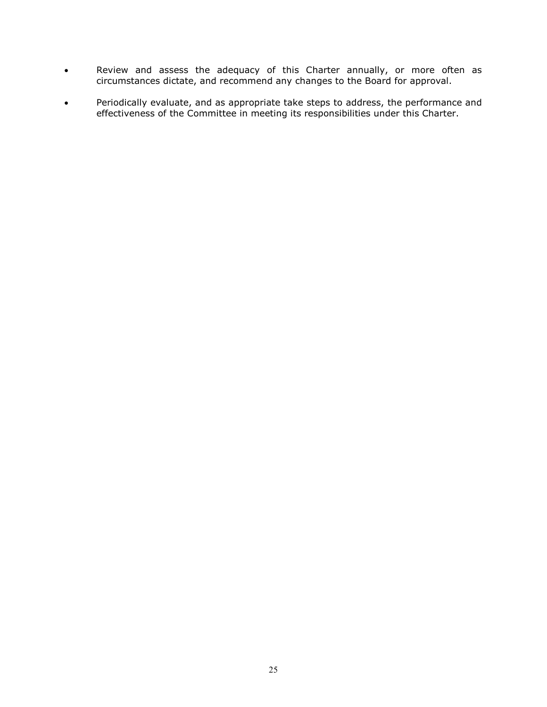- Review and assess the adequacy of this Charter annually, or more often as circumstances dictate, and recommend any changes to the Board for approval.
- Periodically evaluate, and as appropriate take steps to address, the performance and effectiveness of the Committee in meeting its responsibilities under this Charter.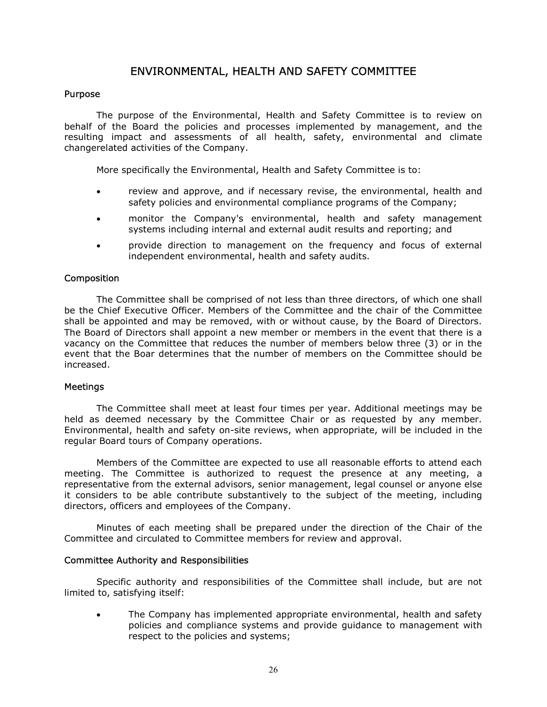# ENVIRONMENTAL, HEALTH AND SAFETY COMMITTEE

# Purpose

The purpose of the Environmental, Health and Safety Committee is to review on behalf of the Board the policies and processes implemented by management, and the resulting impact and assessments of all health, safety, environmental and climate changerelated activities of the Company.

More specifically the Environmental, Health and Safety Committee is to:

- review and approve, and if necessary revise, the environmental, health and safety policies and environmental compliance programs of the Company;
- monitor the Company's environmental, health and safety management systems including internal and external audit results and reporting; and
- provide direction to management on the frequency and focus of external independent environmental, health and safety audits.

# **Composition**

The Committee shall be comprised of not less than three directors, of which one shall be the Chief Executive Officer. Members of the Committee and the chair of the Committee shall be appointed and may be removed, with or without cause, by the Board of Directors. The Board of Directors shall appoint a new member or members in the event that there is a vacancy on the Committee that reduces the number of members below three (3) or in the event that the Boar determines that the number of members on the Committee should be increased.

#### Meetings

The Committee shall meet at least four times per year. Additional meetings may be held as deemed necessary by the Committee Chair or as requested by any member. Environmental, health and safety on-site reviews, when appropriate, will be included in the regular Board tours of Company operations.

Members of the Committee are expected to use all reasonable efforts to attend each meeting. The Committee is authorized to request the presence at any meeting, a representative from the external advisors, senior management, legal counsel or anyone else it considers to be able contribute substantively to the subject of the meeting, including directors, officers and employees of the Company.

Minutes of each meeting shall be prepared under the direction of the Chair of the Committee and circulated to Committee members for review and approval.

#### Committee Authority and Responsibilities

Specific authority and responsibilities of the Committee shall include, but are not limited to, satisfying itself:

 The Company has implemented appropriate environmental, health and safety policies and compliance systems and provide guidance to management with respect to the policies and systems;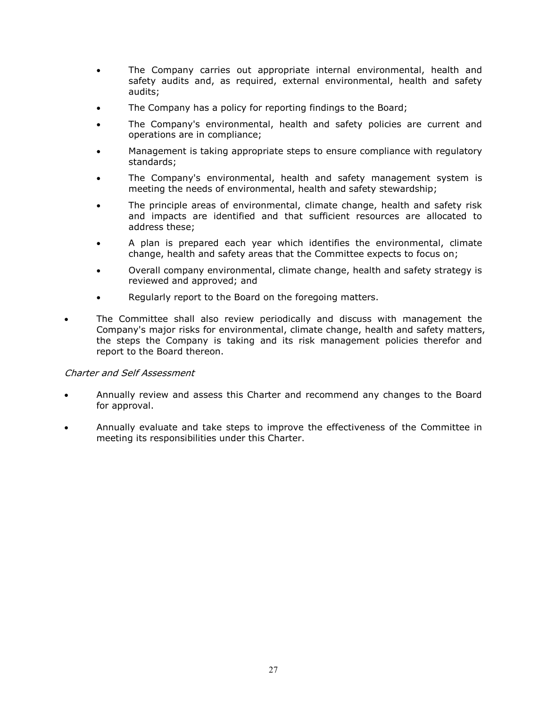- The Company carries out appropriate internal environmental, health and safety audits and, as required, external environmental, health and safety audits;
- The Company has a policy for reporting findings to the Board;
- The Company's environmental, health and safety policies are current and operations are in compliance;
- Management is taking appropriate steps to ensure compliance with regulatory standards;
- The Company's environmental, health and safety management system is meeting the needs of environmental, health and safety stewardship;
- The principle areas of environmental, climate change, health and safety risk and impacts are identified and that sufficient resources are allocated to address these;
- A plan is prepared each year which identifies the environmental, climate change, health and safety areas that the Committee expects to focus on;
- Overall company environmental, climate change, health and safety strategy is reviewed and approved; and
- Regularly report to the Board on the foregoing matters.
- The Committee shall also review periodically and discuss with management the Company's major risks for environmental, climate change, health and safety matters, the steps the Company is taking and its risk management policies therefor and report to the Board thereon.

# Charter and Self Assessment

- Annually review and assess this Charter and recommend any changes to the Board for approval.
- Annually evaluate and take steps to improve the effectiveness of the Committee in meeting its responsibilities under this Charter.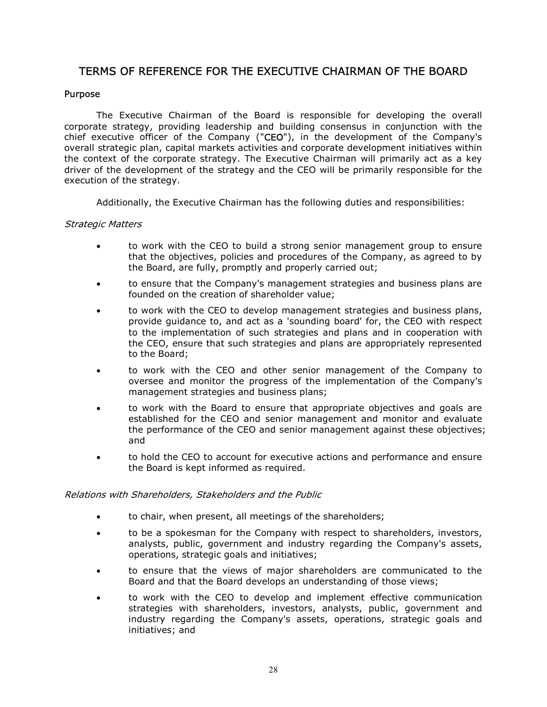# TERMS OF REFERENCE FOR THE EXECUTIVE CHAIRMAN OF THE BOARD

# Purpose

The Executive Chairman of the Board is responsible for developing the overall corporate strategy, providing leadership and building consensus in conjunction with the chief executive officer of the Company ("CEO"), in the development of the Company's overall strategic plan, capital markets activities and corporate development initiatives within the context of the corporate strategy. The Executive Chairman will primarily act as a key driver of the development of the strategy and the CEO will be primarily responsible for the execution of the strategy.

Additionally, the Executive Chairman has the following duties and responsibilities:

# Strategic Matters

- to work with the CEO to build a strong senior management group to ensure that the objectives, policies and procedures of the Company, as agreed to by the Board, are fully, promptly and properly carried out;
- to ensure that the Company's management strategies and business plans are founded on the creation of shareholder value;
- to work with the CEO to develop management strategies and business plans, provide guidance to, and act as a 'sounding board' for, the CEO with respect to the implementation of such strategies and plans and in cooperation with the CEO, ensure that such strategies and plans are appropriately represented to the Board;
- to work with the CEO and other senior management of the Company to oversee and monitor the progress of the implementation of the Company's management strategies and business plans;
- to work with the Board to ensure that appropriate objectives and goals are established for the CEO and senior management and monitor and evaluate the performance of the CEO and senior management against these objectives; and
- to hold the CEO to account for executive actions and performance and ensure the Board is kept informed as required.

# Relations with Shareholders, Stakeholders and the Public

- to chair, when present, all meetings of the shareholders;
- to be a spokesman for the Company with respect to shareholders, investors, analysts, public, government and industry regarding the Company's assets, operations, strategic goals and initiatives;
- to ensure that the views of major shareholders are communicated to the Board and that the Board develops an understanding of those views;
- to work with the CEO to develop and implement effective communication strategies with shareholders, investors, analysts, public, government and industry regarding the Company's assets, operations, strategic goals and initiatives; and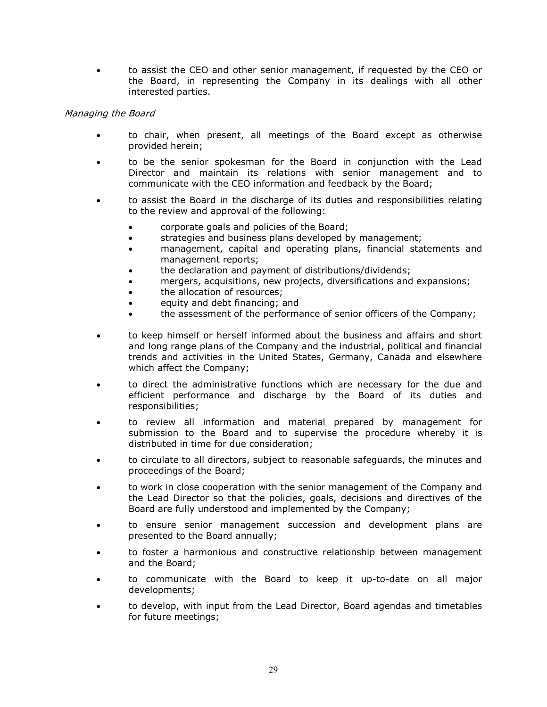to assist the CEO and other senior management, if requested by the CEO or the Board, in representing the Company in its dealings with all other interested parties.

# Managing the Board

- to chair, when present, all meetings of the Board except as otherwise provided herein;
- to be the senior spokesman for the Board in conjunction with the Lead Director and maintain its relations with senior management and to communicate with the CEO information and feedback by the Board;
- to assist the Board in the discharge of its duties and responsibilities relating to the review and approval of the following:
	- corporate goals and policies of the Board;
	- **strategies and business plans developed by management;**
	- management, capital and operating plans, financial statements and management reports;
	- the declaration and payment of distributions/dividends;
	- mergers, acquisitions, new projects, diversifications and expansions;
	- the allocation of resources;
	- equity and debt financing; and
	- the assessment of the performance of senior officers of the Company;
- to keep himself or herself informed about the business and affairs and short and long range plans of the Company and the industrial, political and financial trends and activities in the United States, Germany, Canada and elsewhere which affect the Company;
- to direct the administrative functions which are necessary for the due and efficient performance and discharge by the Board of its duties and responsibilities;
- to review all information and material prepared by management for submission to the Board and to supervise the procedure whereby it is distributed in time for due consideration;
- to circulate to all directors, subject to reasonable safeguards, the minutes and proceedings of the Board;
- to work in close cooperation with the senior management of the Company and the Lead Director so that the policies, goals, decisions and directives of the Board are fully understood and implemented by the Company;
- to ensure senior management succession and development plans are presented to the Board annually;
- to foster a harmonious and constructive relationship between management and the Board;
- to communicate with the Board to keep it up-to-date on all major developments;
- to develop, with input from the Lead Director, Board agendas and timetables for future meetings;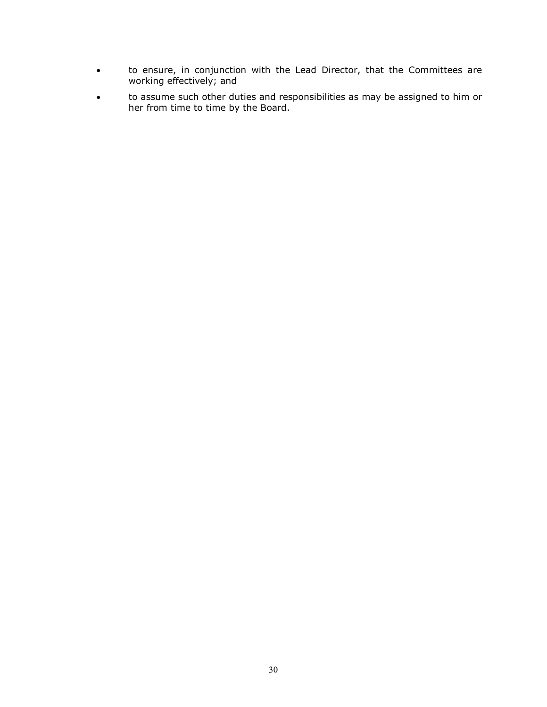- to ensure, in conjunction with the Lead Director, that the Committees are working effectively; and
- to assume such other duties and responsibilities as may be assigned to him or her from time to time by the Board.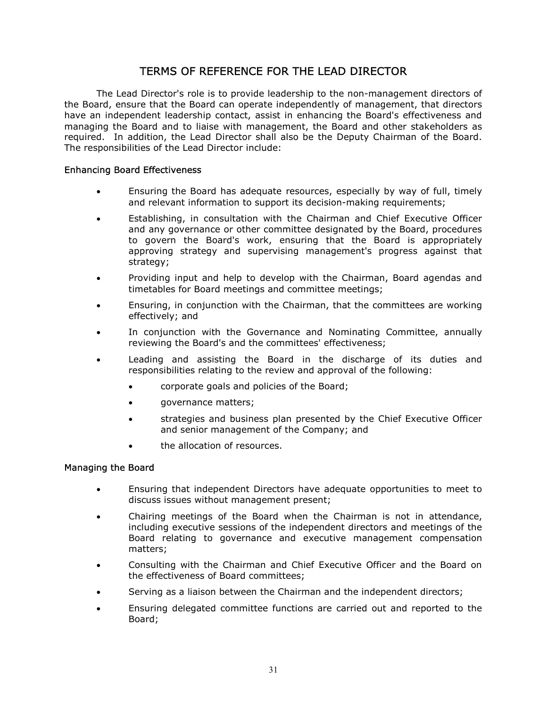# TERMS OF REFERENCE FOR THE LEAD DIRECTOR

The Lead Director's role is to provide leadership to the non-management directors of the Board, ensure that the Board can operate independently of management, that directors have an independent leadership contact, assist in enhancing the Board's effectiveness and managing the Board and to liaise with management, the Board and other stakeholders as required. In addition, the Lead Director shall also be the Deputy Chairman of the Board. The responsibilities of the Lead Director include:

# Enhancing Board Effectiveness

- Ensuring the Board has adequate resources, especially by way of full, timely and relevant information to support its decision-making requirements;
- Establishing, in consultation with the Chairman and Chief Executive Officer and any governance or other committee designated by the Board, procedures to govern the Board's work, ensuring that the Board is appropriately approving strategy and supervising management's progress against that strategy;
- Providing input and help to develop with the Chairman, Board agendas and timetables for Board meetings and committee meetings;
- Ensuring, in conjunction with the Chairman, that the committees are working effectively; and
- In conjunction with the Governance and Nominating Committee, annually reviewing the Board's and the committees' effectiveness;
- Leading and assisting the Board in the discharge of its duties and responsibilities relating to the review and approval of the following:
	- corporate goals and policies of the Board;
	- qovernance matters;
	- strategies and business plan presented by the Chief Executive Officer and senior management of the Company; and
	- the allocation of resources.

# Managing the Board

- Ensuring that independent Directors have adequate opportunities to meet to discuss issues without management present;
- Chairing meetings of the Board when the Chairman is not in attendance, including executive sessions of the independent directors and meetings of the Board relating to governance and executive management compensation matters;
- Consulting with the Chairman and Chief Executive Officer and the Board on the effectiveness of Board committees;
- Serving as a liaison between the Chairman and the independent directors;
- Ensuring delegated committee functions are carried out and reported to the Board;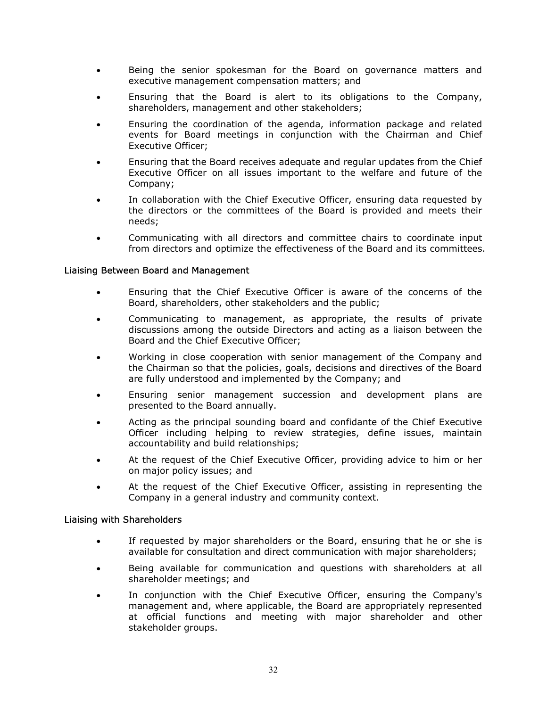- Being the senior spokesman for the Board on governance matters and executive management compensation matters; and
- Ensuring that the Board is alert to its obligations to the Company, shareholders, management and other stakeholders;
- Ensuring the coordination of the agenda, information package and related events for Board meetings in conjunction with the Chairman and Chief Executive Officer;
- Ensuring that the Board receives adequate and regular updates from the Chief Executive Officer on all issues important to the welfare and future of the Company;
- In collaboration with the Chief Executive Officer, ensuring data requested by the directors or the committees of the Board is provided and meets their needs;
- Communicating with all directors and committee chairs to coordinate input from directors and optimize the effectiveness of the Board and its committees.

# Liaising Between Board and Management

- Ensuring that the Chief Executive Officer is aware of the concerns of the Board, shareholders, other stakeholders and the public;
- Communicating to management, as appropriate, the results of private discussions among the outside Directors and acting as a liaison between the Board and the Chief Executive Officer;
- Working in close cooperation with senior management of the Company and the Chairman so that the policies, goals, decisions and directives of the Board are fully understood and implemented by the Company; and
- Ensuring senior management succession and development plans are presented to the Board annually.
- Acting as the principal sounding board and confidante of the Chief Executive Officer including helping to review strategies, define issues, maintain accountability and build relationships;
- At the request of the Chief Executive Officer, providing advice to him or her on major policy issues; and
- At the request of the Chief Executive Officer, assisting in representing the Company in a general industry and community context.

#### Liaising with Shareholders

- If requested by major shareholders or the Board, ensuring that he or she is available for consultation and direct communication with major shareholders;
- Being available for communication and questions with shareholders at all shareholder meetings; and
- In conjunction with the Chief Executive Officer, ensuring the Company's management and, where applicable, the Board are appropriately represented at official functions and meeting with major shareholder and other stakeholder groups.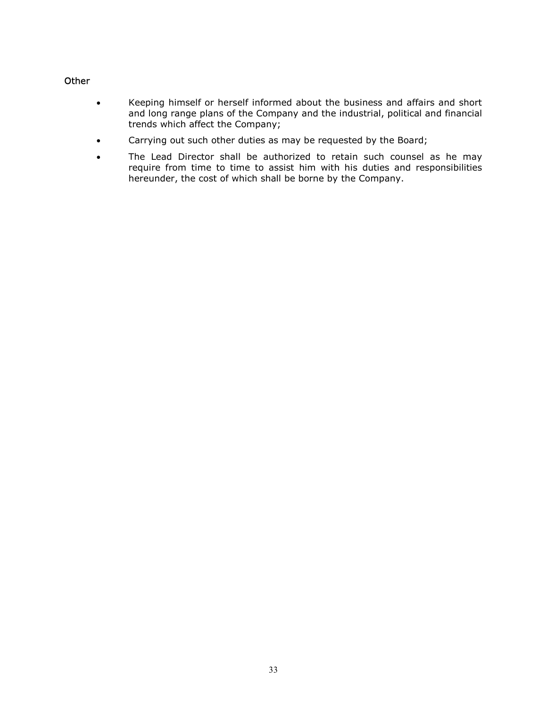# **Other**

- Keeping himself or herself informed about the business and affairs and short and long range plans of the Company and the industrial, political and financial trends which affect the Company;
- Carrying out such other duties as may be requested by the Board;
- The Lead Director shall be authorized to retain such counsel as he may require from time to time to assist him with his duties and responsibilities hereunder, the cost of which shall be borne by the Company.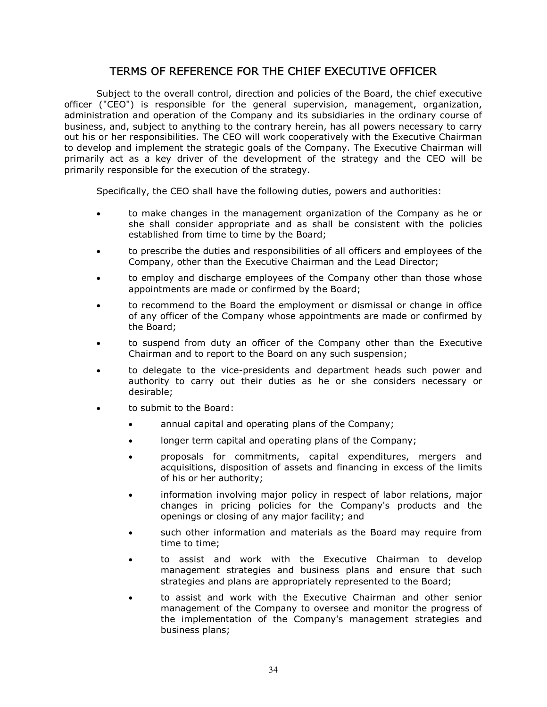# TERMS OF REFERENCE FOR THE CHIEF EXECUTIVE OFFICER

Subject to the overall control, direction and policies of the Board, the chief executive officer ("CEO") is responsible for the general supervision, management, organization, administration and operation of the Company and its subsidiaries in the ordinary course of business, and, subject to anything to the contrary herein, has all powers necessary to carry out his or her responsibilities. The CEO will work cooperatively with the Executive Chairman to develop and implement the strategic goals of the Company. The Executive Chairman will primarily act as a key driver of the development of the strategy and the CEO will be primarily responsible for the execution of the strategy.

Specifically, the CEO shall have the following duties, powers and authorities:

- to make changes in the management organization of the Company as he or she shall consider appropriate and as shall be consistent with the policies established from time to time by the Board;
- to prescribe the duties and responsibilities of all officers and employees of the Company, other than the Executive Chairman and the Lead Director;
- to employ and discharge employees of the Company other than those whose appointments are made or confirmed by the Board;
- to recommend to the Board the employment or dismissal or change in office of any officer of the Company whose appointments are made or confirmed by the Board;
- to suspend from duty an officer of the Company other than the Executive Chairman and to report to the Board on any such suspension;
- to delegate to the vice-presidents and department heads such power and authority to carry out their duties as he or she considers necessary or desirable;
- to submit to the Board:
	- annual capital and operating plans of the Company;
	- longer term capital and operating plans of the Company;
	- proposals for commitments, capital expenditures, mergers and acquisitions, disposition of assets and financing in excess of the limits of his or her authority;
	- information involving major policy in respect of labor relations, major changes in pricing policies for the Company's products and the openings or closing of any major facility; and
	- such other information and materials as the Board may require from time to time;
	- to assist and work with the Executive Chairman to develop management strategies and business plans and ensure that such strategies and plans are appropriately represented to the Board;
	- to assist and work with the Executive Chairman and other senior management of the Company to oversee and monitor the progress of the implementation of the Company's management strategies and business plans;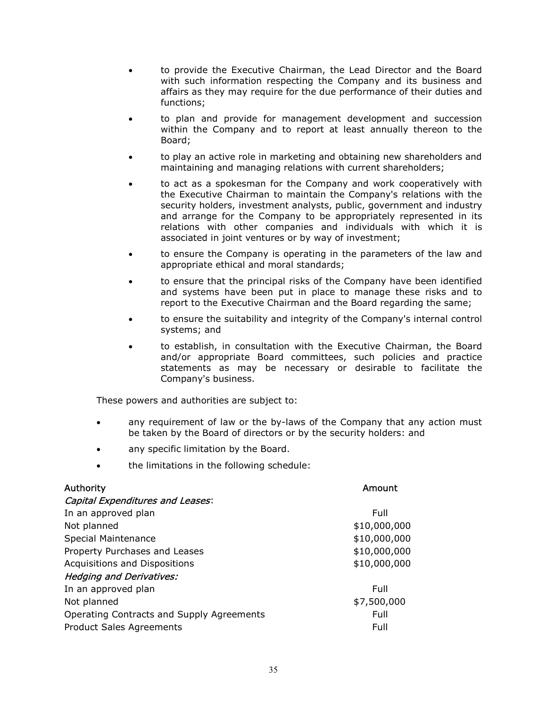- to provide the Executive Chairman, the Lead Director and the Board with such information respecting the Company and its business and affairs as they may require for the due performance of their duties and functions;
- to plan and provide for management development and succession within the Company and to report at least annually thereon to the Board;
- to play an active role in marketing and obtaining new shareholders and maintaining and managing relations with current shareholders;
- to act as a spokesman for the Company and work cooperatively with the Executive Chairman to maintain the Company's relations with the security holders, investment analysts, public, government and industry and arrange for the Company to be appropriately represented in its relations with other companies and individuals with which it is associated in joint ventures or by way of investment;
- to ensure the Company is operating in the parameters of the law and appropriate ethical and moral standards;
- to ensure that the principal risks of the Company have been identified and systems have been put in place to manage these risks and to report to the Executive Chairman and the Board regarding the same;
- to ensure the suitability and integrity of the Company's internal control systems; and
- to establish, in consultation with the Executive Chairman, the Board and/or appropriate Board committees, such policies and practice statements as may be necessary or desirable to facilitate the Company's business.

These powers and authorities are subject to:

- any requirement of law or the by-laws of the Company that any action must be taken by the Board of directors or by the security holders: and
- any specific limitation by the Board.
- the limitations in the following schedule:

| <b>Authority</b>                          | Amount       |
|-------------------------------------------|--------------|
| <b>Capital Expenditures and Leases:</b>   |              |
| In an approved plan                       | Full         |
| Not planned                               | \$10,000,000 |
| Special Maintenance                       | \$10,000,000 |
| Property Purchases and Leases             | \$10,000,000 |
| Acquisitions and Dispositions             | \$10,000,000 |
| <b>Hedging and Derivatives:</b>           |              |
| In an approved plan                       | Full         |
| Not planned                               | \$7,500,000  |
| Operating Contracts and Supply Agreements | Full         |
| <b>Product Sales Agreements</b>           | Full         |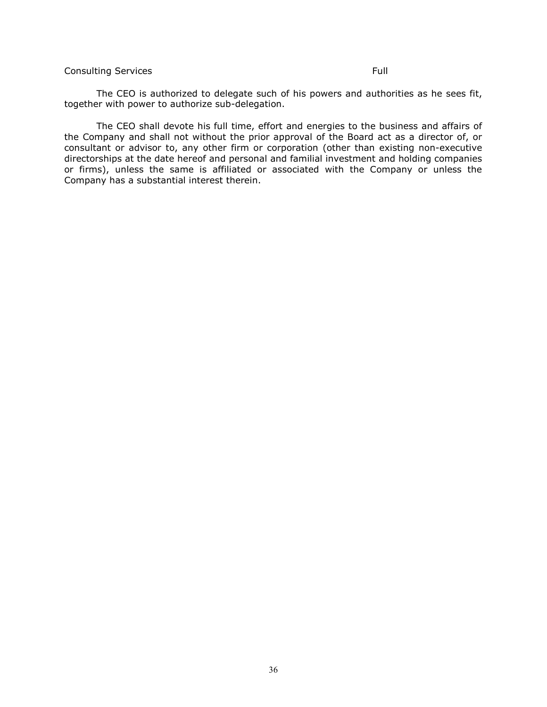### Consulting Services **Full**

The CEO is authorized to delegate such of his powers and authorities as he sees fit, together with power to authorize sub-delegation.

The CEO shall devote his full time, effort and energies to the business and affairs of the Company and shall not without the prior approval of the Board act as a director of, or consultant or advisor to, any other firm or corporation (other than existing non-executive directorships at the date hereof and personal and familial investment and holding companies or firms), unless the same is affiliated or associated with the Company or unless the Company has a substantial interest therein.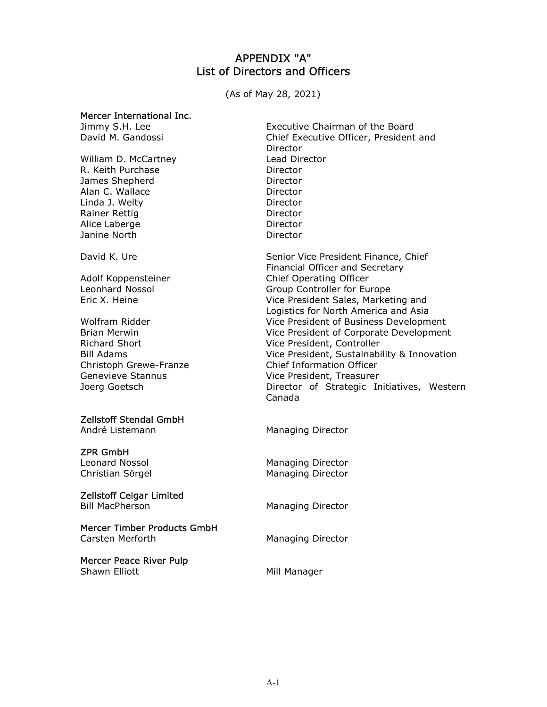# APPENDIX "A" List of Directors and Officers

(As of May 28, 2021)

#### Mercer International Inc.

William D. McCartney R. Keith Purchase Director James Shepherd **Director** Alan C. Wallace Director Linda J. Welty **Director** Rainer Rettig Alice Laberge Janine North **Director** 

# Zellstoff Stendal GmbH

André Listemann Managing Director

# ZPR GmbH

# Zellstoff Celgar Limited<br>Bill MacPherson

Mercer Timber Products GmbH

Mercer Peace River Pulp Shawn Elliott **Mill Manager** Mill Manager

Jimmy S.H. Lee **Executive Chairman of the Board** David M. Gandossi Chief Executive Officer, President and Director<br>Lead Director Director Director

David K. Ure Senior Vice President Finance, Chief Financial Officer and Secretary Adolf Koppensteiner Chief Operating Officer Leonhard Nossol Group Controller for Europe Eric X. Heine Vice President Sales, Marketing and Logistics for North America and Asia Wolfram Ridder Vice President of Business Development Brian Merwin Vice President of Corporate Development Richard Short **Vice President, Controller** Bill Adams Vice President, Sustainability & Innovation Christoph Grewe-Franze Chief Information Officer Genevieve Stannus and Genevieve Stannus and Vice President, Treasurer Joerg Goetsch Director of Strategic Initiatives, Western Canada

Leonard Nossol **Managing Director** Christian Sörgel Managing Director

Managing Director

Carsten Merforth **Managing Director**